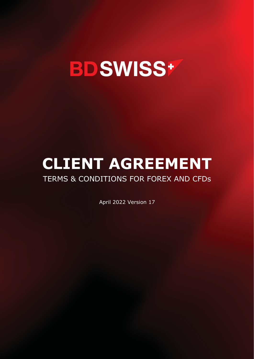

# **CLIENT AGREEMENT**

# TERMS & CONDITIONS FOR FOREX AND CFDs

April 2022 Version 17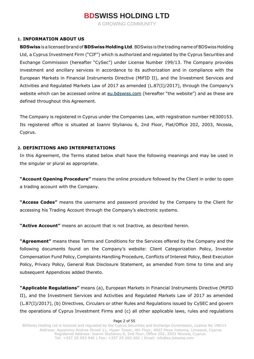A GROWING COMMUNITY

### **1. INFORMATION ABOUT US**

**BDSwiss**is a licensed brand of **BDSwiss HoldingLtd**.BDSwiss is the trading name ofBDSwiss Holding Ltd, a Cyprus Investment Firm ("CIF") which is authorized and regulated by the Cyprus Securities and Exchange Commission (hereafter "CySec") under License Number 199/13. The Company provides investment and ancillary services in accordance to its authorization and in compliance with the European Markets in Financial Instruments Directive (MiFID II), and the Investment Services and Activities and Regulated Markets Law of 2017 as amended (L.87(I)/2017), through the Company's website which can be accessed online at eu.bdswiss.com (hereafter "the website") and as these are defined throughout this Agreement.

The Company is registered in Cyprus under the Companies Law, with registration number HE300153. Its registered office is situated at Ioanni Stylianou 6, 2nd Floor, Flat/Office 202, 2003, Nicosia, Cyprus.

### **2. DEFINITIONS AND INTERPRETATIONS**

In this Agreement, the Terms stated below shall have the following meanings and may be used in the singular or plural as appropriate.

**"Account Opening Procedure"** means the online procedure followed by the Client in order to open a trading account with the Company.

**"Access Codes"** means the username and password provided by the Company to the Client for accessing his Trading Account through the Company's electronic systems.

**"Active Account"** means an account that is not Inactive, as described herein.

**"Agreement"** means these Terms and Conditions for the Services offered by the Company and the following documents found on the Company's website: Client Categorization Policy, Investor Compensation Fund Policy, Complaints Handling Procedure, Conflicts of Interest Policy, Best Execution Policy, Privacy Policy, General Risk Disclosure Statement, as amended from time to time and any subsequent Appendices added thereto.

**"Applicable Regulations"** means (a), European Markets in Financial Instruments Directive (MiFID II), and the Investment Services and Activities and Regulated Markets Law of 2017 as amended (L.87(I)/2017), (b) Directives, Circulars or other Rules and Regulations issued by CySEC and govern the operations of Cyprus Investment Firms and (c) all other applicable laws, rules and regulations

#### Page 2 of 55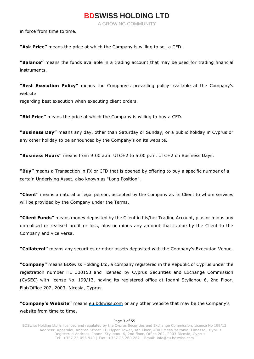A GROWING COMMUNITY

in force from time to time.

**"Ask Price"** means the price at which the Company is willing to sell a CFD.

**"Balance"** means the funds available in a trading account that may be used for trading financial instruments.

**"Best Execution Policy"** means the Company's prevailing policy available at the Company's website

regarding best execution when executing client orders.

**"Bid Price"** means the price at which the Company is willing to buy a CFD.

**"Business Day"** means any day, other than Saturday or Sunday, or a public holiday in Cyprus or any other holiday to be announced by the Company's on its website.

**"Business Hours"** means from 9:00 a.m. UTC+2 to 5:00 p.m. UTC+2 on Business Days.

**"Buy"** means a Transaction in FX or CFD that is opened by offering to buy a specific number of a certain Underlying Asset, also known as "Long Position".

**"Client"** means a natural or legal person, accepted by the Company as its Client to whom services will be provided by the Company under the Terms.

**"Client Funds"** means money deposited by the Client in his/her Trading Account, plus or minus any unrealised or realised profit or loss, plus or minus any amount that is due by the Client to the Company and vice versa.

**"Collateral"** means any securities or other assets deposited with the Company's Execution Venue.

**"Company"** means BDSwiss Holding Ltd, a company registered in the Republic of Cyprus under the registration number HE 300153 and licensed by Cyprus Securities and Exchange Commission (CySEC) with license No. 199/13, having its registered office at Ioanni Stylianou 6, 2nd Floor, Flat/Office 202, 2003, Nicosia, Cyprus.

**"Company's Website"** means eu.bdswiss.com or any other website that may be the Company's website from time to time.

#### Page 3 of 55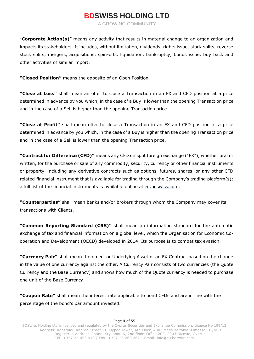A GROWING COMMUNITY

"**Corporate Action(s)**" means any activity that results in material change to an organization and impacts its stakeholders. It includes, without limitation, dividends, rights issue, stock splits, reverse stock splits, mergers, acquisitions, spin-offs, liquidation, bankruptcy, bonus issue, buy back and other activities of similar import.

**"Closed Position"** means the opposite of an Open Position.

**"Close at Loss"** shall mean an offer to close a Transaction in an FX and CFD position at a price determined in advance by you which, in the case of a Buy is lower than the opening Transaction price and in the case of a Sell is higher than the opening Transaction price.

**"Close at Profit"** shall mean offer to close a Transaction in an FX and CFD position at a price determined in advance by you which, in the case of a Buy is higher than the opening Transaction price and in the case of a Sell is lower than the opening Transaction price.

**"Contract for Difference (CFD)"** means any CFD on spot foreign exchange ("FX"), whether oral or written, for the purchase or sale of any commodity, security, currency or other financial instruments or property, including any derivative contracts such as options, futures, shares, or any other CFD related financial instrument that is available for trading through the Company's trading platform(s); a full list of the financial instruments is available online at eu.bdswiss.com.

**"Counterparties"** shall mean banks and/or brokers through whom the Company may cover its transactions with Clients.

**"Common Reporting Standard (CRS)"** shall mean an information standard for the automatic exchange of tax and financial information on a global level, which the Organisation for Economic Cooperation and Development (OECD) developed in 2014. Its purpose is to combat tax evasion.

**"Currency Pair"** shall mean the object or Underlying Asset of an FX Contract based on the change in the value of one currency against the other. A Currency Pair consists of two currencies (the Quote Currency and the Base Currency) and shows how much of the Quote currency is needed to purchase one unit of the Base Currency.

**"Coupon Rate"** shall mean the interest rate applicable to bond CFDs and are in line with the percentage of the bond's par amount invested.

#### Page 4 of 55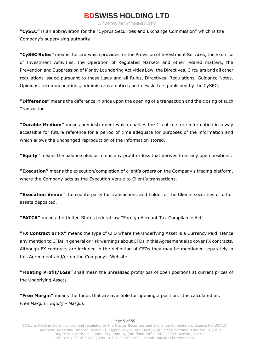A GROWING COMMUNITY

**"CySEC"** is an abbreviation for the "Cyprus Securities and Exchange Commission" which is the Company's supervising authority.

**"CySEC Rules"** means the Law which provides for the Provision of Investment Services, the Exercise of Investment Activities, the Operation of Regulated Markets and other related matters, the Prevention and Suppression of Money Laundering Activities Law, the Directives, Circulars and all other regulations issued pursuant to these Laws and all Rules, Directives, Regulations, Guidance Notes, Opinions, recommendations, administrative notices and newsletters published by the CySEC.

**"Difference"** means the difference in price upon the opening of a transaction and the closing of such Transaction.

**"Durable Medium"** means any instrument which enables the Client to store information in a way accessible for future reference for a period of time adequate for purposes of the information and which allows the unchanged reproduction of the information stored.

**"Equity"** means the balance plus or minus any profit or loss that derives from any open positions.

**"Execution"** means the execution/completion of client's orders on the Company's trading platform, where the Company acts as the Execution Venue to Client's transactions.

**"Execution Venue"** the counterparty for transactions and holder of the Clients securities or other assets deposited.

**"FATCA"** means the United States federal law "Foreign Account Tax Compliance Act".

**"FX Contract or FX"** means the type of CFD where the Underlying Asset is a Currency Paid. Hence any mention to CFDs in general or risk warnings about CFDs in this Agreement also cover FX contracts. Although FX contracts are included in the definition of CFDs they may be mentioned separately in this Agreement and/or on the Company's Website.

**"Floating Profit/Loss"** shall mean the unrealized profit/loss of open positions at current prices of the Underlying Assets.

**"Free Margin"** means the funds that are available for opening a position. It is calculated as: *Free Margin= Equity - Margin.*

#### Page 5 of 55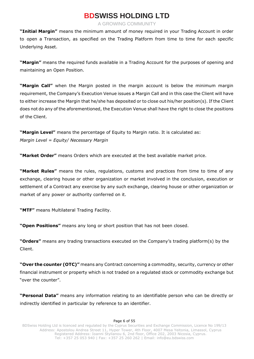A GROWING COMMUNITY

**"Initial Margin"** means the minimum amount of money required in your Trading Account in order to open a Transaction, as specified on the Trading Platform from time to time for each specific Underlying Asset.

**"Margin"** means the required funds available in a Trading Account for the purposes of opening and maintaining an Open Position.

**"Margin Call"** when the Margin posted in the margin account is below the minimum margin requirement, the Company's Execution Venue issues a Margin Call and in this case the Client will have to either increase the Margin that he/she has deposited or to close out his/her position(s). If the Client does not do any of the aforementioned, the Execution Venue shall have the right to close the positions of the Client.

**"Margin Level"** means the percentage of Equity to Margin ratio. It is calculated as: *Margin Level = Equity/ Necessary Margin*

**"Market Order"** means Orders which are executed at the best available market price.

**"Market Rules"** means the rules, regulations, customs and practices from time to time of any exchange, clearing house or other organization or market involved in the conclusion, execution or settlement of a Contract any exercise by any such exchange, clearing house or other organization or market of any power or authority conferred on it.

**"MTF"** means Multilateral Trading Facility.

**"Open Positions"** means any long or short position that has not been closed.

**"Orders"** means any trading transactions executed on the Company's trading platform(s) by the Client.

**"Over the counter (OTC)"** means any Contract concerning a commodity, security, currency or other financial instrument or property which is not traded on a regulated stock or commodity exchange but "over the counter".

**"Personal Data"** means any information relating to an identifiable person who can be directly or indirectly identified in particular by reference to an identifier.

#### Page 6 of 55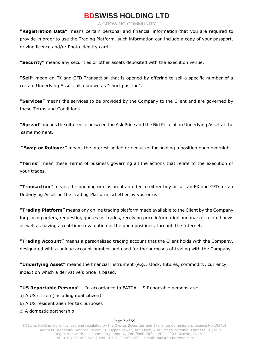A GROWING COMMUNITY

**"Registration Data"** means certain personal and financial information that you are required to provide in order to use the Trading Platform, such information can include a copy of your passport, driving licence and/or Photo identity card.

**"Security"** means any securities or other assets deposited with the execution venue.

**"Sell"** mean an FX and CFD Transaction that is opened by offering to sell a specific number of a certain Underlying Asset; also known as "short position".

**"Services"** means the services to be provided by the Company to the Client and are governed by these Terms and Conditions.

**"Spread"** means the difference between the Ask Price and the Bid Price of an Underlying Asset at the same moment.

**"Swap or Rollover"** means the interest added or deducted for holding a position open overnight.

**"Terms"** mean these Terms of business governing all the actions that relate to the execution of your trades.

**"Transaction"** means the opening or closing of an offer to either buy or sell an FX and CFD for an Underlying Asset on the Trading Platform, whether by you or us.

**"Trading Platform"** means any online trading platform made available to the Client by the Company for placing orders, requesting quotes for trades, receiving price information and market related news as well as having a real-time revaluation of the open positions, through the Internet.

**"Trading Account"** means a personalized trading account that the Client holds with the Company, designated with a unique account number and used for the purposes of trading with the Company.

**"Underlying Asset"** means the financial instrument (e.g., stock, futures, commodity, currency, index) on which a derivative's price is based.

### **"US Reportable Persons"** – In accordance to FATCA, US Reportable persons are:

- a) A US citizen (including dual citizen)
- b) A US resident alien for tax purposes
- c) A domestic partnership

#### Page 7 of 55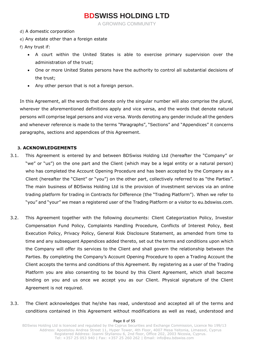A GROWING COMMUNITY

- d) A domestic corporation
- e) Any estate other than a foreign estate
- f) Any trust if:
	- A court within the United States is able to exercise primary supervision over the administration of the trust;
	- One or more United States persons have the authority to control all substantial decisions of the trust;
	- Any other person that is not a foreign person.

In this Agreement, all the words that denote only the singular number will also comprise the plural, wherever the aforementioned definitions apply and vice versa, and the words that denote natural persons will comprise legal persons and vice versa. Words denoting any gender include all the genders and whenever reference is made to the terms "Paragraphs", "Sections" and "Appendices" it concerns paragraphs, sections and appendices of this Agreement.

### **3. ACKNOWLEDGEMENTS**

- 3.1. This Agreement is entered by and between BDSwiss Holding Ltd (hereafter the "Company" or "we" or "us") on the one part and the Client (which may be a legal entity or a natural person) who has completed the Account Opening Procedure and has been accepted by the Company as a Client (hereafter the "Client" or "you") on the other part, collectively referred to as "the Parties". The main business of BDSwiss Holding Ltd is the provision of investment services via an online trading platform for trading in Contracts for Difference (the "Trading Platform"). When we refer to "you" and "your" we mean a registered user of the Trading Platform or a visitor to eu.bdswiss.com.
- 3.2. This Agreement together with the following documents: Client Categorization Policy, Investor Compensation Fund Policy, Complaints Handling Procedure, Conflicts of Interest Policy, Best Execution Policy, Privacy Policy, General Risk Disclosure Statement, as amended from time to time and any subsequent Appendices added thereto, set out the terms and conditions upon which the Company will offer its services to the Client and shall govern the relationship between the Parties. By completing the Company's Account Opening Procedure to open a Trading Account the Client accepts the terms and conditions of this Agreement. By registering as a user of the Trading Platform you are also consenting to be bound by this Client Agreement, which shall become binding on you and us once we accept you as our Client. Physical signature of the Client Agreement is not required.
- 3.3. The Client acknowledges that he/she has read, understood and accepted all of the terms and conditions contained in this Agreement without modifications as well as read, understood and

#### Page 8 of 55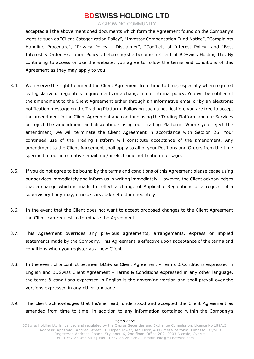A GROWING COMMUNITY

accepted all the above mentioned documents which form the Agreement found on the Company's website such as "Client Categorization Policy", "Investor Compensation Fund Notice", "Complaints Handling Procedure", "Privacy Policy", "Disclaimer", "Conflicts of Interest Policy" and "Best Interest & Order Execution Policy", before he/she become a Client of BDSwiss Holding Ltd. By continuing to access or use the website, you agree to follow the terms and conditions of this Agreement as they may apply to you.

- 3.4. We reserve the right to amend the Client Agreement from time to time, especially when required by legislative or regulatory requirements or a change in our internal policy. You will be notified of the amendment to the Client Agreement either through an informative email or by an electronic notification message on the Trading Platform. Following such a notification, you are free to accept the amendment in the Client Agreement and continue using the Trading Platform and our Services or reject the amendment and discontinue using our Trading Platform. Where you reject the amendment, we will terminate the Client Agreement in accordance with Section 26. Your continued use of the Trading Platform will constitute acceptance of the amendment. Any amendment to the Client Agreement shall apply to all of your Positions and Orders from the time specified in our informative email and/or electronic notification message.
- 3.5. If you do not agree to be bound by the terms and conditions of this Agreement please cease using our services immediately and inform us in writing immediately. However, the Client acknowledges that a change which is made to reflect a change of Applicable Regulations or a request of a supervisory body may, if necessary, take effect immediately.
- 3.6. In the event that the Client does not want to accept proposed changes to the Client Agreement the Client can request to terminate the Agreement.
- 3.7. This Agreement overrides any previous agreements, arrangements, express or implied statements made by the Company. This Agreement is effective upon acceptance of the terms and conditions when you register as a new Client.
- 3.8. In the event of a conflict between BDSwiss Client Agreement Terms & Conditions expressed in English and BDSwiss Client Agreement - Terms & Conditions expressed in any other language, the terms & conditions expressed in English is the governing version and shall prevail over the versions expressed in any other language.
- 3.9. The client acknowledges that he/she read, understood and accepted the Client Agreement as amended from time to time, in addition to any information contained within the Company's

#### Page 9 of 55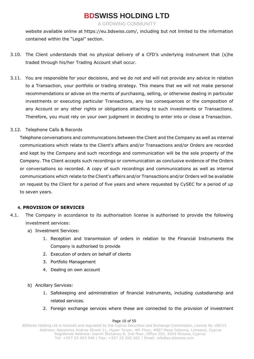A GROWING COMMUNITY

website available online at https://eu.bdswiss.com/, including but not limited to the information contained within the "Legal" section.

- 3.10. The Client understands that no physical delivery of a CFD's underlying instrument that (s)he traded through his/her Trading Account shall occur.
- 3.11. You are responsible for your decisions, and we do not and will not provide any advice in relation to a Transaction, your portfolio or trading strategy. This means that we will not make personal recommendations or advise on the merits of purchasing, selling, or otherwise dealing in particular investments or executing particular Transactions, any tax consequences or the composition of any Account or any other rights or obligations attaching to such investments or Transactions. Therefore, you must rely on your own judgment in deciding to enter into or close a Transaction.

### 3.12. Telephone Calls & Records

Telephone conversations and communications between the Client and the Company as well as internal communications which relate to the Client's affairs and/or Transactions and/or Orders are recorded and kept by the Company and such recordings and communication will be the sole property of the Company. The Client accepts such recordings or communication as conclusive evidence of the Orders or conversations so recorded. A copy of such recordings and communications as well as internal communications which relate to the Client's affairs and/or Transactions and/or Orders will be available on request by the Client for a period of five years and where requested by CySEC for a period of up to seven years.

### **4. PROVISION OF SERVICES**

- 4.1. The Company in accordance to its authorisation license is authorised to provide the following investment services:
	- a) Investment Services:
		- 1. Reception and transmission of orders in relation to the Financial Instruments the Company is authorised to provide
		- 2. Execution of orders on behalf of clients
		- 3. Portfolio Management
		- 4. Dealing on own account
	- b) Ancillary Services:
		- 1. Safekeeping and administration of financial instruments, including custodianship and related services.
		- 2. Foreign exchange services where these are connected to the provision of investment

#### Page 10 of 55

BDSwiss Holding Ltd is licenced and regulated by the Cyprus Securities and Exchange Commission, Licence No 199/13 Address: Apostolou Andrea Street 11, Hyper Tower, 4th Floor, 4007 Mesa Yeitonia, Limassol, Cyprus Registered Address: Ioanni Stylianou 6, 2nd floor, Office 202, 2003 Nicosia, Cyprus. Tel: +357 25 053 940 | Fax: +357 25 260 262 | Email: [info@eu.bdswiss.com](mailto:info@eu.bdswiss.com)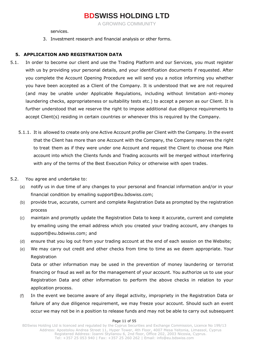A GROWING COMMUNITY

services.

3. Investment research and financial analysis or other forms.

### **5. APPLICATION AND REGISTRATION DATA**

- 5.1. In order to become our client and use the Trading Platform and our Services, you must register with us by providing your personal details, and your identification documents if requested. After you complete the Account Opening Procedure we will send you a notice informing you whether you have been accepted as a Client of the Company. It is understood that we are not required (and may be unable under Applicable Regulations, including without limitation anti-money laundering checks, appropriateness or suitability tests etc.) to accept a person as our Client. It is further understood that we reserve the right to impose additional due diligence requirements to accept Client(s) residing in certain countries or whenever this is required by the Company.
	- 5.1.1. It is allowed to create only one Active Account profile per Client with the Company. In the event that the Client has more than one Account with the Company, the Company reserves the right to treat them as if they were under one Account and request the Client to choose one Main account into which the Clients funds and Trading accounts will be merged without interfering with any of the terms of the Best Execution Policy or otherwise with open trades.
- 5.2. You agree and undertake to:
	- (a) notify us in due time of any changes to your personal and financial information and/or in your financial condition by emailing support@eu.bdswiss.com;
	- (b) provide true, accurate, current and complete Registration Data as prompted by the registration process
	- (c) maintain and promptly update the Registration Data to keep it accurate, current and complete by emailing using the email address which you created your trading account, any changes to support@eu.bdswiss.com; and
	- (d) ensure that you log out from your trading account at the end of each session on the Website;
	- (e) We may carry out credit and other checks from time to time as we deem appropriate. Your Registration

Data or other information may be used in the prevention of money laundering or terrorist financing or fraud as well as for the management of your account. You authorize us to use your Registration Data and other information to perform the above checks in relation to your application process.

(f) In the event we become aware of any illegal activity, impropriety in the Registration Data or failure of any due diligence requirement, we may freeze your account. Should such an event occur we may not be in a position to release funds and may not be able to carry out subsequent

#### Page 11 of 55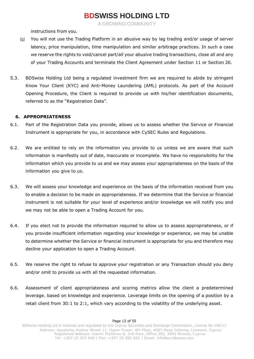A GROWING COMMUNITY

instructions from you.

- (g) You will not use the Trading Platform in an abusive way by lag trading and/or usage of server latency, price manipulation, time manipulation and similar arbitrage practices. In such a case we reserve the rights to void/cancel part/all your abusive trading transactions, close all and any of your Trading Accounts and terminate the Client Agreement under Section 11 or Section 26.
- 5.3. BDSwiss Holding Ltd being a regulated investment firm we are required to abide by stringent Know Your Client (KYC) and Anti-Money Laundering (AML) protocols. As part of the Account Opening Procedure, the Client is required to provide us with his/her identification documents, referred to as the "Registration Data".

### **6. APPROPRIATENESS**

- 6.1. Part of the Registration Data you provide, allows us to assess whether the Service or Financial Instrument is appropriate for you, in accordance with CySEC Rules and Regulations.
- 6.2. We are entitled to rely on the information you provide to us unless we are aware that such information is manifestly out of date, inaccurate or incomplete. We have no responsibility for the information which you provide to us and we may assess your appropriateness on the basis of the information you give to us.
- 6.3. We will assess your knowledge and experience on the basis of the information received from you to enable a decision to be made on appropriateness. If we determine that the Service or financial instrument is not suitable for your level of experience and/or knowledge we will notify you and we may not be able to open a Trading Account for you.
- 6.4. If you elect not to provide the information required to allow us to assess appropriateness, or if you provide insufficient information regarding your knowledge or experience, we may be unable to determine whether the Service or financial instrument is appropriate for you and therefore may decline your application to open a Trading Account.
- 6.5. We reserve the right to refuse to approve your registration or any Transaction should you deny and/or omit to provide us with all the requested information.
- 6.6. Assessment of client appropriateness and scoring metrics allow the client a predetermined leverage. based on knowledge and experience. Leverage limits on the opening of a position by a retail client from 30:1 to 2:1, which vary according to the volatility of the underlying asset.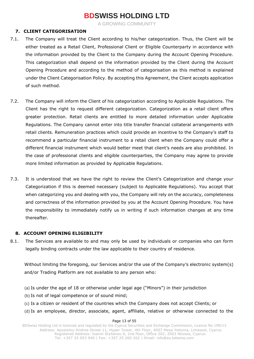A GROWING COMMUNITY

### **7. CLIENT CATEGORISATION**

- 7.1. The Company will treat the Client according to his/her categorization. Thus, the Client will be either treated as a Retail Client, Professional Client or Eligible Counterparty in accordance with the information provided by the Client to the Company during the Account Opening Procedure. This categorization shall depend on the information provided by the Client during the Account Opening Procedure and according to the method of categorisation as this method is explained under the Client Categorisation Policy. By accepting this Agreement, the Client accepts application of such method.
- 7.2. The Company will inform the Client of his categorization according to Applicable Regulations. The Client has the right to request different categorization. Categorization as a retail client offers greater protection. Retail clients are entitled to more detailed information under Applicable Regulations. The Company cannot enter into title transfer financial collateral arrangements with retail clients. Remuneration practices which could provide an incentive to the Company's staff to recommend a particular financial instrument to a retail client when the Company could offer a different financial instrument which would better meet that client's needs are also prohibited. In the case of professional clients and eligible counterparties, the Company may agree to provide more limited information as provided by Applicable Regulations.
- 7.3. It is understood that we have the right to review the Client's Categorization and change your Categorization if this is deemed necessary (subject to Applicable Regulations). You accept that when categorizing you and dealing with you, the Company will rely on the accuracy, completeness and correctness of the information provided by you at the Account Opening Procedure. You have the responsibility to immediately notify us in writing if such information changes at any time thereafter.

### **8. ACCOUNT OPENING ELIGIBILITY**

8.1. The Services are available to and may only be used by individuals or companies who can form legally binding contracts under the law applicable to their country of residence.

Without limiting the foregoing, our Services and/or the use of the Company's electronic system(s) and/or Trading Platform are not available to any person who:

(a) Is under the age of 18 or otherwise under legal age ("Minors") in their jurisdiction

(b) Is not of legal competence or of sound mind;

- (c) Is a citizen or resident of the countries which the Company does not accept Clients; or
- (d) Is an employee, director, associate, agent, affiliate, relative or otherwise connected to the

#### Page 13 of 55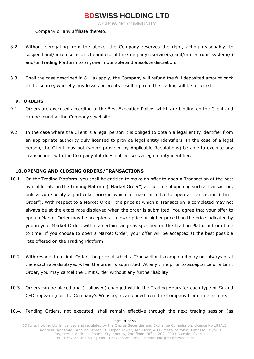A GROWING COMMUNITY

Company or any affiliate thereto.

- 8.2. Without derogating from the above, the Company reserves the right, acting reasonably, to suspend and/or refuse access to and use of the Company's service(s) and/or electronic system(s) and/or Trading Platform to anyone in our sole and absolute discretion.
- 8.3. Shall the case described in 8.1 a) apply, the Company will refund the full deposited amount back to the source, whereby any losses or profits resulting from the trading will be forfeited.

### **9. ORDERS**

- 9.1. Orders are executed according to the Best Execution Policy, which are binding on the Client and can be found at the Company's website.
- 9.2. In the case where the Client is a legal person it is obliged to obtain a legal entity identifier from an appropriate authority duly licensed to provide legal entity identifiers. In the case of a legal person, the Client may not (where provided by Applicable Regulations) be able to execute any Transactions with the Company if it does not possess a legal entity identifier.

### **10. OPENING AND CLOSING ORDERS/TRANSACTIONS**

- 10.1. On the Trading Platform, you shall be entitled to make an offer to open a Transaction at the best available rate on the Trading Platform ("Market Order") at the time of opening such a Transaction, unless you specify a particular price in which to make an offer to open a Transaction ("Limit Order"). With respect to a Market Order, the price at which a Transaction is completed may not always be at the exact rate displayed when the order is submitted. You agree that your offer to open a Market Order may be accepted at a lower price or higher price than the price indicated by you in your Market Order, within a certain range as specified on the Trading Platform from time to time. If you choose to open a Market Order, your offer will be accepted at the best possible rate offered on the Trading Platform.
- 10.2. With respect to a Limit Order, the price at which a Transaction is completed may not always b at the exact rate displayed when the order is submitted. At any time prior to acceptance of a Limit Order, you may cancel the Limit Order without any further liability.
- 10.3. Orders can be placed and (if allowed) changed within the Trading Hours for each type of FX and CFD appearing on the Company's Website, as amended from the Company from time to time.
- 10.4. Pending Orders, not executed, shall remain effective through the next trading session (as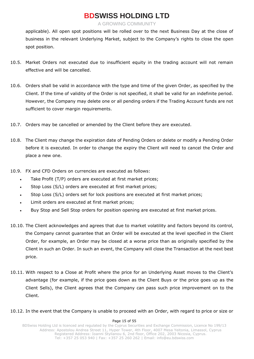A GROWING COMMUNITY

applicable). All open spot positions will be rolled over to the next Business Day at the close of business in the relevant Underlying Market, subject to the Company's rights to close the open spot position.

- 10.5. Market Orders not executed due to insufficient equity in the trading account will not remain effective and will be cancelled.
- 10.6. Orders shall be valid in accordance with the type and time of the given Order, as specified by the Client. If the time of validity of the Order is not specified, it shall be valid for an indefinite period. However, the Company may delete one or all pending orders if the Trading Account funds are not sufficient to cover margin requirements.
- 10.7. Orders may be cancelled or amended by the Client before they are executed.
- 10.8. The Client may change the expiration date of Pending Orders or delete or modify a Pending Order before it is executed. In order to change the expiry the Client will need to cancel the Order and place a new one.
- 10.9. FX and CFD Orders on currencies are executed as follows:
	- Take Profit (T/P) orders are executed at first market prices;
	- Stop Loss (S/L) orders are executed at first market prices;
	- Stop Loss (S/L) orders set for lock positions are executed at first market prices;
	- Limit orders are executed at first market prices;
	- Buy Stop and Sell Stop orders for position opening are executed at first market prices.
- 10.10. The Client acknowledges and agrees that due to market volatility and factors beyond its control, the Company cannot guarantee that an Order will be executed at the level specified in the Client Order, for example, an Order may be closed at a worse price than as originally specified by the Client in such an Order. In such an event, the Company will close the Transaction at the next best price.
- 10.11. With respect to a Close at Profit where the price for an Underlying Asset moves to the Client's advantage (for example, if the price goes down as the Client Buys or the price goes up as the Client Sells), the Client agrees that the Company can pass such price improvement on to the Client.

### 10.12. In the event that the Company is unable to proceed with an Order, with regard to price or size or

#### Page 15 of 55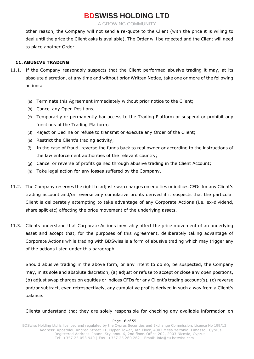A GROWING COMMUNITY

other reason, the Company will not send a re-quote to the Client (with the price it is willing to deal until the price the Client asks is available). The Order will be rejected and the Client will need to place another Order.

### **11. ABUSIVE TRADING**

- 11.1. If the Company reasonably suspects that the Client performed abusive trading it may, at its absolute discretion, at any time and without prior Written Notice, take one or more of the following actions:
	- (a) Terminate this Agreement immediately without prior notice to the Client;
	- (b) Cancel any Open Positions;
	- (c) Temporarily or permanently bar access to the Trading Platform or suspend or prohibit any functions of the Trading Platform;
	- (d) Reject or Decline or refuse to transmit or execute any Order of the Client;
	- (e) Restrict the Client's trading activity;
	- (f) In the case of fraud, reverse the funds back to real owner or according to the instructions of the law enforcement authorities of the relevant country;
	- (g) Cancel or reverse of profits gained through abusive trading in the Client Account;
	- (h) Take legal action for any losses suffered by the Company.
- 11.2. The Company reserves the right to adjust swap charges on equities or indices CFDs for any Client's trading account and/or reverse any cumulative profits derived if it suspects that the particular Client is deliberately attempting to take advantage of any Corporate Actions (i.e. ex-dividend, share split etc) affecting the price movement of the underlying assets.
- 11.3. Clients understand that Corporate Actions inevitably affect the price movement of an underlying asset and accept that, for the purposes of this Agreement, deliberately taking advantage of Corporate Actions while trading with BDSwiss is a form of abusive trading which may trigger any of the actions listed under this paragraph.

Should abusive trading in the above form, or any intent to do so, be suspected, the Company may, in its sole and absolute discretion, (a) adjust or refuse to accept or close any open positions, (b) adjust swap charges on equities or indices CFDs for any Client's trading account(s), (c) reverse and/or subtract, even retrospectively, any cumulative profits derived in such a way from a Client's balance.

Clients understand that they are solely responsible for checking any available information on

#### Page 16 of 55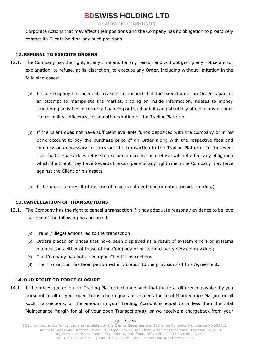A GROWING COMMUNITY

Corporate Actions that may affect their positions and the Company has no obligation to proactively contact its Clients holding any such positions.

### **12. REFUSAL TO EXECUTE ORDERS**

- 12.1. The Company has the right, at any time and for any reason and without giving any notice and/or explanation, to refuse, at its discretion, to execute any Order, including without limitation in the following cases:
	- (a) If the Company has adequate reasons to suspect that the execution of an Order is part of an attempt to manipulate the market, trading on inside information, relates to money laundering activities or terrorist financing or fraud or if it can potentially affect in any manner the reliability, efficiency, or smooth operation of the Trading Platform.
	- (b) If the Client does not have sufficient available funds deposited with the Company or in his bank account to pay the purchase price of an Order along with the respective fees and commissions necessary to carry out the transaction in the Trading Platform. In the event that the Company does refuse to execute an order, such refusal will not affect any obligation which the Client may have towards the Company or any right which the Company may have against the Client or his assets.
	- (c) If the order is a result of the use of inside confidential information (insider trading).

### **13. CANCELLATION OF TRANSACTIONS**

- 13.1. The Company has the right to cancel a transaction if it has adequate reasons / evidence to believe that one of the following has occurred:
	- (a) Fraud / illegal actions led to the transaction:
	- (b) Orders placed on prices that have been displayed as a result of system errors or systems malfunctions either of those of the Company or of its third party service providers;
	- (c) The Company has not acted upon Client's instructions;
	- (d) The Transaction has been performed in violation to the provisions of this Agreement.

### **14. OUR RIGHT TO FORCE CLOSURE**

14.1. If the prices quoted on the Trading Platform change such that the total difference payable by you pursuant to all of your open Transaction equals or exceeds the total Maintenance Margin for all such Transactions, or the amount in your Trading Account is equal to or less than the total Maintenance Margin for all of your open Transaction(s), or we receive a chargeback from your

#### Page 17 of 55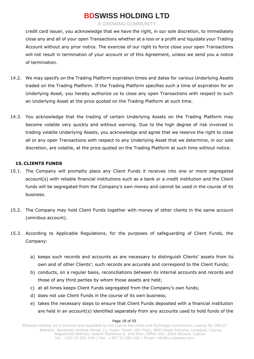A GROWING COMMUNITY

credit card issuer, you acknowledge that we have the right, in our sole discretion, to immediately close any and all of your open Transactions whether at a loss or a profit and liquidate your Trading Account without any prior notice. The exercise of our right to force close your open Transactions will not result in termination of your account or of this Agreement, unless we send you a notice of termination.

- 14.2. We may specify on the Trading Platform expiration times and dates for various Underlying Assets traded on the Trading Platform. If the Trading Platform specifies such a time of expiration for an Underlying Asset, you hereby authorize us to close any open Transactions with respect to such an Underlying Asset at the price quoted on the Trading Platform at such time.
- 14.3. You acknowledge that the trading of certain Underlying Assets on the Trading Platform may become volatile very quickly and without warning. Due to the high degree of risk involved in trading volatile Underlying Assets, you acknowledge and agree that we reserve the right to close all or any open Transactions with respect to any Underlying Asset that we determine, in our sole discretion, are volatile, at the price quoted on the Trading Platform at such time without notice.

### **15. CLIENTS FUNDS**

- 15.1. The Company will promptly place any Client Funds it receives into one or more segregated account(s) with reliable financial institutions such as a bank or a credit institution and the Client funds will be segregated from the Company's own money and cannot be used in the course of its business.
- 15.2. The Company may hold Client Funds together with money of other clients in the same account (omnibus account).
- 15.3. According to Applicable Regulations, for the purposes of safeguarding of Client Funds, the Company:
	- a) keeps such records and accounts as are necessary to distinguish Clients' assets from its own and of other Clients'; such records are accurate and correspond to the Client Funds;
	- b) conducts, on a regular basis, reconciliations between its internal accounts and records and those of any third parties by whom those assets are held;
	- c) at all times keeps Client Funds segregated from the Company's own funds;
	- d) does not use Client Funds in the course of its own business;
	- e) takes the necessary steps to ensure that Client Funds deposited with a financial institution are held in an account(s) identified separately from any accounts used to hold funds of the

#### Page 18 of 55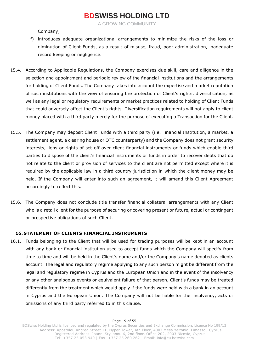A GROWING COMMUNITY

Company;

- f) introduces adequate organizational arrangements to minimize the risks of the loss or diminution of Client Funds, as a result of misuse, fraud, poor administration, inadequate record keeping or negligence.
- 15.4. According to Applicable Regulations, the Company exercises due skill, care and diligence in the selection and appointment and periodic review of the financial institutions and the arrangements for holding of Client Funds. The Company takes into account the expertise and market reputation of such institutions with the view of ensuring the protection of Client's rights, diversification, as well as any legal or regulatory requirements or market practices related to holding of Client Funds that could adversely affect the Client's rights. Diversification requirements will not apply to client money placed with a third party merely for the purpose of executing a Transaction for the Client.
- 15.5. The Company may deposit Client Funds with a third party (i.e. Financial Institution, a market, a settlement agent, a clearing house or OTC counterparty) and the Company does not grant security interests, liens or rights of set-off over client financial instruments or funds which enable third parties to dispose of the client's financial instruments or funds in order to recover debts that do not relate to the client or provision of services to the client are not permitted except where it is required by the applicable law in a third country jurisdiction in which the client money may be held. If the Company will enter into such an agreement, it will amend this Client Agreement accordingly to reflect this.
- 15.6. The Company does not conclude title transfer financial collateral arrangements with any Client who is a retail client for the purpose of securing or covering present or future, actual or contingent or prospective obligations of such Client.

### **16. STATEMENT OF CLIENTS FINANCIAL INSTRUMENTS**

16.1. Funds belonging to the Client that will be used for trading purposes will be kept in an account with any bank or financial institution used to accept funds which the Company will specify from time to time and will be held in the Client's name and/or the Company's name denoted as clients account. The legal and regulatory regime applying to any such person might be different from the legal and regulatory regime in Cyprus and the European Union and in the event of the insolvency or any other analogous events or equivalent failure of that person, Client's funds may be treated differently from the treatment which would apply if the funds were held with a bank in an account in Cyprus and the European Union. The Company will not be liable for the insolvency, acts or omissions of any third party referred to in this clause.

#### Page 19 of 55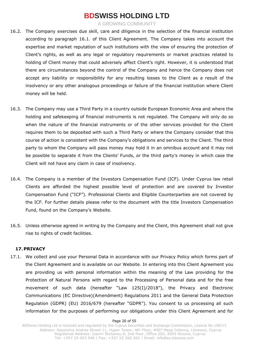A GROWING COMMUNITY

- 16.2. The Company exercises due skill, care and diligence in the selection of the financial institution according to paragraph 16.1. of this Client Agreement. The Company takes into account the expertise and market reputation of such institutions with the view of ensuring the protection of Client's rights, as well as any legal or regulatory requirements or market practices related to holding of Client money that could adversely affect Client's right. However, it is understood that there are circumstances beyond the control of the Company and hence the Company does not accept any liability or responsibility for any resulting losses to the Client as a result of the insolvency or any other analogous proceedings or failure of the financial institution where Client money will be held.
- 16.3. The Company may use a Third Party in a country outside European Economic Area and where the holding and safekeeping of financial instruments is not regulated. The Company will only do so when the nature of the financial instruments or of the other services provided for the Client requires them to be deposited with such a Third Party or where the Company consider that this course of action is consistent with the Company's obligations and services to the Client. The third party to whom the Company will pass money may hold it in an omnibus account and it may not be possible to separate it from the Clients' Funds, or the third party's money in which case the Client will not have any claim in case of insolvency.
- 16.4. The Company is a member of the Investors Compensation Fund (ICF). Under Cyprus law retail Clients are afforded the highest possible level of protection and are covered by Investor Compensation Fund ("ICF"). Professional Clients and Eligible Counterparties are not covered by the ICF. For further details please refer to the document with the title Investors Compensation Fund, found on the Company's Website.
- 16.5. Unless otherwise agreed in writing by the Company and the Client, this Agreement shall not give rise to rights of credit facilities.

### **17. PRIVACY**

17.1. We collect and use your Personal Data in accordance with our Privacy Policy which forms part of the Client Agreement and is available on our Website. In entering into this Client Agreement you are providing us with personal information within the meaning of the Law providing for the Protection of Natural Persons with regard to the Processing of Personal data and for the free movement of such data (hereafter "Law 125(I)/2018"), the Privacy and Electronic Communications (EC Directive)(Amendment) Regulations 2011 and the General Data Protection Regulation (GDPR) (EU) 2016/679 (hereafter "GDPR"). You consent to us processing all such information for the purposes of performing our obligations under this Client Agreement and for

#### Page 20 of 55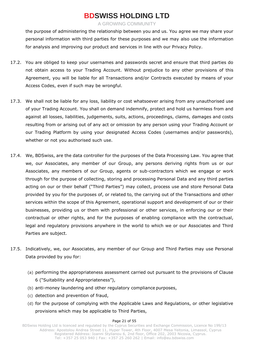A GROWING COMMUNITY

the purpose of administering the relationship between you and us. You agree we may share your personal information with third parties for these purposes and we may also use the information for analysis and improving our product and services in line with our Privacy Policy.

- 17.2. You are obliged to keep your usernames and passwords secret and ensure that third parties do not obtain access to your Trading Account. Without prejudice to any other provisions of this Agreement, you will be liable for all Transactions and/or Contracts executed by means of your Access Codes, even if such may be wrongful.
- 17.3. We shall not be liable for any loss, liability or cost whatsoever arising from any unauthorised use of your Trading Account. You shall on demand indemnify, protect and hold us harmless from and against all losses, liabilities, judgements, suits, actions, proceedings, claims, damages and costs resulting from or arising out of any act or omission by any person using your Trading Account or our Trading Platform by using your designated Access Codes (usernames and/or passwords), whether or not you authorised such use.
- 17.4. We, BDSwiss, are the data controller for the purposes of the Data Processing Law. You agree that we, our Associates, any member of our Group, any persons deriving rights from us or our Associates, any members of our Group, agents or sub-contractors which we engage or work through for the purpose of collecting, storing and processing Personal Data and any third parties acting on our or their behalf ("Third Parties") may collect, process use and store Personal Data provided by you for the purposes of, or related to, the carrying out of the Transactions and other services within the scope of this Agreement, operational support and development of our or their businesses, providing us or them with professional or other services, in enforcing our or their contractual or other rights, and for the purposes of enabling compliance with the contractual, legal and regulatory provisions anywhere in the world to which we or our Associates and Third Parties are subject.
- 17.5. Indicatively, we, our Associates, any member of our Group and Third Parties may use Personal Data provided by you for:
	- (a) performing the appropriateness assessment carried out pursuant to the provisions of Clause 6 ("Suitability and Appropriateness"),
	- (b) anti-money laundering and other regulatory compliance purposes,
	- (c) detection and prevention of fraud,
	- (d) for the purpose of complying with the Applicable Laws and Regulations, or other legislative provisions which may be applicable to Third Parties,

#### Page 21 of 55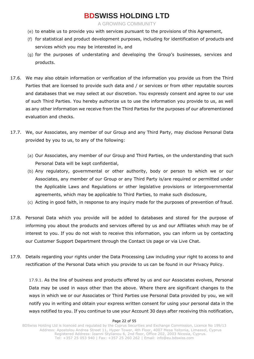A GROWING COMMUNITY

- (e) to enable us to provide you with services pursuant to the provisions of this Agreement,
- (f) for statistical and product development purposes, including for identification of products and services which you may be interested in, and
- (g) for the purposes of understating and developing the Group's businesses, services and products.
- 17.6. We may also obtain information or verification of the information you provide us from the Third Parties that are licensed to provide such data and / or services or from other reputable sources and databases that we may select at our discretion. You expressly consent and agree to our use of such Third Parties. You hereby authorize us to use the information you provide to us, as well as any other information we receive from the Third Parties for the purposes of our aforementioned evaluation and checks.
- 17.7. We, our Associates, any member of our Group and any Third Party, may disclose Personal Data provided by you to us, to any of the following:
	- (a) Our Associates, any member of our Group and Third Parties, on the understanding that such Personal Data will be kept confidential,
	- (b) Any regulatory, governmental or other authority, body or person to which we or our Associates, any member of our Group or any Third Party is/are required or permitted under the Applicable Laws and Regulations or other legislative provisions or intergovernmental agreements, which may be applicable to Third Parties, to make such disclosure,
	- (c) Acting in good faith, in response to any inquiry made for the purposes of prevention of fraud.
- 17.8. Personal Data which you provide will be added to databases and stored for the purpose of informing you about the products and services offered by us and our Affiliates which may be of interest to you. If you do not wish to receive this information, you can inform us by contacting our Customer Support Department through the Contact Us page or via Live Chat.
- 17.9. Details regarding your rights under the Data Processing Law including your right to access to and rectification of the Personal Data which you provide to us can be found in our Privacy Policy.

17.9.1. As the line of business and products offered by us and our Associates evolves, Personal Data may be used in ways other than the above. Where there are significant changes to the ways in which we or our Associates or Third Parties use Personal Data provided by you, we will notify you in writing and obtain your express written consent for using your personal data in the ways notified to you. If you continue to use your Account 30 days after receiving this notification,

#### Page 22 of 55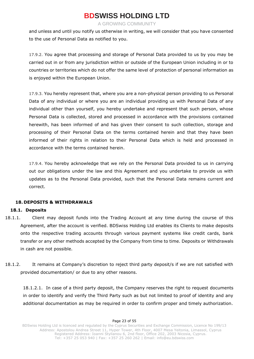A GROWING COMMUNITY

and unless and until you notify us otherwise in writing, we will consider that you have consented to the use of Personal Data as notified to you.

17.9.2. You agree that processing and storage of Personal Data provided to us by you may be carried out in or from any jurisdiction within or outside of the European Union including in or to countries or territories which do not offer the same level of protection of personal information as is enjoyed within the European Union.

17.9.3. You hereby represent that, where you are a non-physical person providing to us Personal Data of any individual or where you are an individual providing us with Personal Data of any individual other than yourself, you hereby undertake and represent that such person, whose Personal Data is collected, stored and processed in accordance with the provisions contained herewith, has been informed of and has given their consent to such collection, storage and processing of their Personal Data on the terms contained herein and that they have been informed of their rights in relation to their Personal Data which is held and processed in accordance with the terms contained herein.

17.9.4. You hereby acknowledge that we rely on the Personal Data provided to us in carrying out our obligations under the law and this Agreement and you undertake to provide us with updates as to the Personal Data provided, such that the Personal Data remains current and correct.

### **18. DEPOSITS & WITHDRAWALS**

### **18.1. Deposits**

- 18.1.1. Client may deposit funds into the Trading Account at any time during the course of this Agreement, after the account is verified. BDSwiss Holding Ltd enables its Clients to make deposits onto the respective trading accounts through various payment systems like credit cards, bank transfer or any other methods accepted by the Company from time to time. Deposits or Withdrawals in cash are not possible.
- 18.1.2. It remains at Company's discretion to reject third party deposit/s if we are not satisfied with provided documentation/ or due to any other reasons.

18.1.2.1. In case of a third party deposit, the Company reserves the right to request documents in order to identify and verify the Third Party such as but not limited to proof of identity and any additional documentation as may be required in order to confirm proper and timely authorization.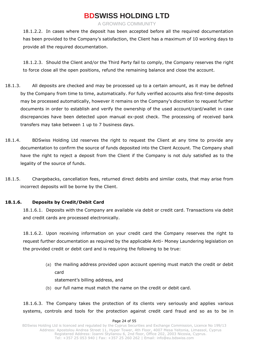A GROWING COMMUNITY

18.1.2.2. In cases where the deposit has been accepted before all the required documentation has been provided to the Company's satisfaction, the Client has a maximum of 10 working days to provide all the required documentation.

18.1.2.3. Should the Client and/or the Third Party fail to comply, the Company reserves the right to force close all the open positions, refund the remaining balance and close the account.

- 18.1.3. All deposits are checked and may be processed up to a certain amount, as it may be defined by the Company from time to time, automatically. For fully verified accounts also first-time deposits may be processed automatically, however it remains on the Company's discretion to request further documents in order to establish and verify the ownership of the used account/card/wallet in case discrepancies have been detected upon manual ex-post check. The processing of received bank transfers may take between 1 up to 7 business days.
- 18.1.4. BDSwiss Holding Ltd reserves the right to request the Client at any time to provide any documentation to confirm the source of funds deposited into the Client Account. The Company shall have the right to reject a deposit from the Client if the Company is not duly satisfied as to the legality of the source of funds.
- 18.1.5. Chargebacks, cancellation fees, returned direct debits and similar costs, that may arise from incorrect deposits will be borne by the Client.

### **18.1.6. Deposits by Credit/Debit Card**

18.1.6.1. Deposits with the Company are available via debit or credit card. Transactions via debit and credit cards are processed electronically.

18.1.6.2. Upon receiving information on your credit card the Company reserves the right to request further documentation as required by the applicable Anti- Money Laundering legislation on the provided credit or debit card and is requiring the following to be true:

> (a) the mailing address provided upon account opening must match the credit or debit card

statement's billing address, and

(b) our full name must match the name on the credit or debit card.

18.1.6.3. The Company takes the protection of its clients very seriously and applies various systems, controls and tools for the protection against credit card fraud and so as to be in

#### Page 24 of 55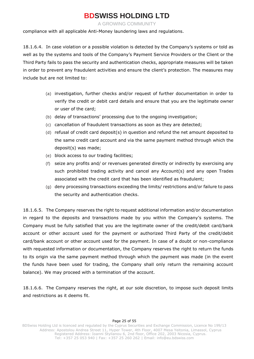A GROWING COMMUNITY

compliance with all applicable Anti-Money laundering laws and regulations.

18.1.6.4. In case violation or a possible violation is detected by the Company's systems or told as well as by the systems and tools of the Company's Payment Service Providers or the Client or the Third Party fails to pass the security and authentication checks, appropriate measures will be taken in order to prevent any fraudulent activities and ensure the client's protection. The measures may include but are not limited to:

- (a) investigation, further checks and/or request of further documentation in order to verify the credit or debit card details and ensure that you are the legitimate owner or user of the card;
- (b) delay of transactions' processing due to the ongoing investigation;
- (c) cancellation of fraudulent transactions as soon as they are detected;
- (d) refusal of credit card deposit(s) in question and refund the net amount deposited to the same credit card account and via the same payment method through which the deposit(s) was made;
- (e) block access to our trading facilities;
- (f) seize any profits and/ or revenues generated directly or indirectly by exercising any such prohibited trading activity and cancel any Account(s) and any open Trades associated with the credit card that has been identified as fraudulent;
- (g) deny processing transactions exceeding the limits/ restrictions and/or failure to pass the security and authentication checks.

18.1.6.5. The Company reserves the right to request additional information and/or documentation in regard to the deposits and transactions made by you within the Company's systems. The Company must be fully satisfied that you are the legitimate owner of the credit/debit card/bank account or other account used for the payment or authorized Third Party of the credit/debit card/bank account or other account used for the payment. In case of a doubt or non-compliance with requested information or documentation, the Company reserves the right to return the funds to its origin via the same payment method through which the payment was made (in the event the funds have been used for trading, the Company shall only return the remaining account balance). We may proceed with a termination of the account.

18.1.6.6. The Company reserves the right, at our sole discretion, to impose such deposit limits and restrictions as it deems fit.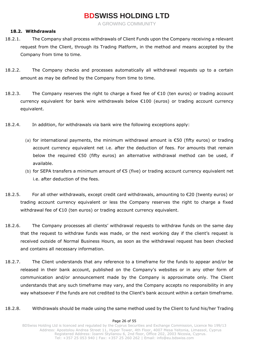A GROWING COMMUNITY

### **18.2. Withdrawals**

- 18.2.1. The Company shall process withdrawals of Client Funds upon the Company receiving a relevant request from the Client, through its Trading Platform, in the method and means accepted by the Company from time to time.
- 18.2.2. The Company checks and processes automatically all withdrawal requests up to a certain amount as may be defined by the Company from time to time.
- 18.2.3. The Company reserves the right to charge a fixed fee of €10 (ten euros) or trading account currency equivalent for bank wire withdrawals below €100 (euros) or trading account currency equivalent.
- 18.2.4. In addition, for withdrawals via bank wire the following exceptions apply:
	- (a) for international payments, the minimum withdrawal amount is €50 (fifty euros) or trading account currency equivalent net i.e. after the deduction of fees. For amounts that remain below the required €50 (fifty euros) an alternative withdrawal method can be used, if available.
	- (b) for SEPA transfers a minimum amount of €5 (five) or trading account currency equivalent net i.e. after deduction of the fees.
- 18.2.5. For all other withdrawals, except credit card withdrawals, amounting to €20 (twenty euros) or trading account currency equivalent or less the Company reserves the right to charge a fixed withdrawal fee of €10 (ten euros) or trading account currency equivalent.
- 18.2.6. The Company processes all clients' withdrawal requests to withdraw funds on the same day that the request to withdraw funds was made, or the next working day if the client's request is received outside of Normal Business Hours, as soon as the withdrawal request has been checked and contains all necessary information.
- 18.2.7. The Client understands that any reference to a timeframe for the funds to appear and/or be released in their bank account, published on the Company's websites or in any other form of communication and/or announcement made by the Company is approximate only. The Client understands that any such timeframe may vary, and the Company accepts no responsibility in any way whatsoever if the funds are not credited to the Client's bank account within a certain timeframe.
- 18.2.8. Withdrawals should be made using the same method used by the Client to fund his/her Trading

#### Page 26 of 55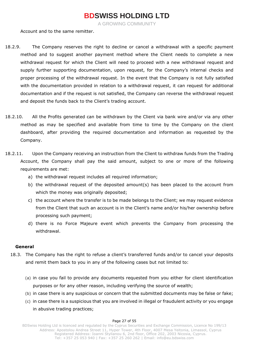A GROWING COMMUNITY

Account and to the same remitter.

- 18.2.9. The Company reserves the right to decline or cancel a withdrawal with a specific payment method and to suggest another payment method where the Client needs to complete a new withdrawal request for which the Client will need to proceed with a new withdrawal request and supply further supporting documentation, upon request, for the Company's internal checks and proper processing of the withdrawal request. In the event that the Company is not fully satisfied with the documentation provided in relation to a withdrawal request, it can request for additional documentation and if the request is not satisfied, the Company can reverse the withdrawal request and deposit the funds back to the Client's trading account.
- 18.2.10. All the Profits generated can be withdrawn by the Client via bank wire and/or via any other method as may be specified and available from time to time by the Company on the client dashboard, after providing the required documentation and information as requested by the Company.
- 18.2.11. Upon the Company receiving an instruction from the Client to withdraw funds from the Trading Account, the Company shall pay the said amount, subject to one or more of the following requirements are met:
	- a) the withdrawal request includes all required information;
	- b) the withdrawal request of the deposited amount(s) has been placed to the account from which the money was originally deposited;
	- c) the account where the transfer is to be made belongs to the Client; we may request evidence from the Client that such an account is in the Client's name and/or his/her ownership before processing such payment;
	- d) there is no Force Majeure event which prevents the Company from processing the withdrawal.

### **General**

- 18.3. The Company has the right to refuse a client's transferred funds and/or to cancel your deposits and remit them back to you in any of the following cases but not limited to:
	- (a) in case you fail to provide any documents requested from you either for client identification purposes or for any other reason, including verifying the source of wealth;
	- (b) in case there is any suspicious or concern that the submitted documents may be false or fake;
	- (c) in case there is a suspicious that you are involved in illegal or fraudulent activity or you engage in abusive trading practices;

#### Page 27 of 55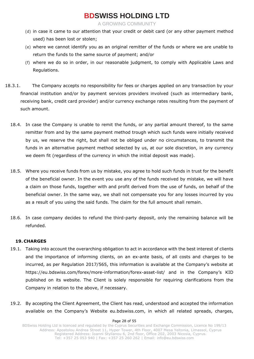A GROWING COMMUNITY

- (d) in case it came to our attention that your credit or debit card (or any other payment method used) has been lost or stolen;
- (e) where we cannot identify you as an original remitter of the funds or where we are unable to return the funds to the same source of payment; and/or
- (f) where we do so in order, in our reasonable judgment, to comply with Applicable Laws and Regulations.
- 18.3.1. The Company accepts no responsibility for fees or charges applied on any transaction by your financial institution and/or by payment services providers involved (such as intermediary bank, receiving bank, credit card provider) and/or currency exchange rates resulting from the payment of such amount.
	- 18.4. In case the Company is unable to remit the funds, or any partial amount thereof, to the same remitter from and by the same payment method trough which such funds were initially received by us, we reserve the right, but shall not be obliged under no circumstances, to transmit the funds in an alternative payment method selected by us, at our sole discretion, in any currency we deem fit (regardless of the currency in which the initial deposit was made).
	- 18.5. Where you receive funds from us by mistake, you agree to hold such funds in trust for the benefit of the beneficial owner. In the event you use any of the funds received by mistake, we will have a claim on those funds, together with and profit derived from the use of funds, on behalf of the beneficial owner. In the same way, we shall not compensate you for any losses incurred by you as a result of you using the said funds. The claim for the full amount shall remain.
	- 18.6. In case company decides to refund the third-party deposit, only the remaining balance will be refunded.

### **19. CHARGES**

- 19.1. Taking into account the overarching obligation to act in accordance with the best interest of clients and the importance of informing clients, on an ex-ante basis, of all costs and charges to be incurred, as per Regulation 2017/565, this information is available at the Company's website at https://eu.bdswiss.com/forex/more-information/forex-asset-list/ and in the Company's KID published on its website. The Client is solely responsible for requiring clarifications from the Company in relation to the above, if necessary.
- 19.2. By accepting the Client Agreement, the Client has read, understood and accepted the information available on the Company's Website eu.bdswiss.com, in which all related spreads, charges,

#### Page 28 of 55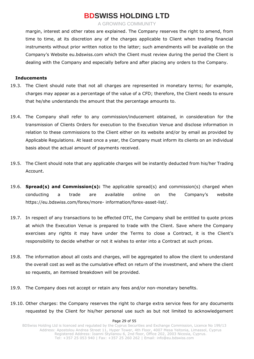A GROWING COMMUNITY

margin, interest and other rates are explained. The Company reserves the right to amend, from time to time, at its discretion any of the charges applicable to Client when trading financial instruments without prior written notice to the latter; such amendments will be available on the Company's Website eu.bdswiss.com which the Client must review during the period the Client is dealing with the Company and especially before and after placing any orders to the Company.

#### **Inducements**

- 19.3. The Client should note that not all charges are represented in monetary terms; for example, charges may appear as a percentage of the value of a CFD; therefore, the Client needs to ensure that he/she understands the amount that the percentage amounts to.
- 19.4. The Company shall refer to any commission/inducement obtained, in consideration for the transmission of Clients Orders for execution to the Execution Venue and disclose information in relation to these commissions to the Client either on its website and/or by email as provided by Applicable Regulations. At least once a year, the Company must inform its clients on an individual basis about the actual amount of payments received.
- 19.5. The Client should note that any applicable charges will be instantly deducted from his/her Trading Account.
- 19.6. **Spread(s) and Commission(s):** The applicable spread(s) and commission(s) charged when conducting a trade are available online on the Company's website https://eu.bdswiss.com/forex/more- information/forex-asset-list/.
- 19.7. In respect of any transactions to be effected OTC, the Company shall be entitled to quote prices at which the Execution Venue is prepared to trade with the Client. Save where the Company exercises any rights it may have under the Terms to close a Contract, it is the Client's responsibility to decide whether or not it wishes to enter into a Contract at such prices.
- 19.8. The information about all costs and charges, will be aggregated to allow the client to understand the overall cost as well as the cumulative effect on return of the investment, and where the client so requests, an itemised breakdown will be provided.
- 19.9. The Company does not accept or retain any fees and/or non-monetary benefits.
- 19.10. Other charges: the Company reserves the right to charge extra service fees for any documents requested by the Client for his/her personal use such as but not limited to acknowledgement

#### Page 29 of 55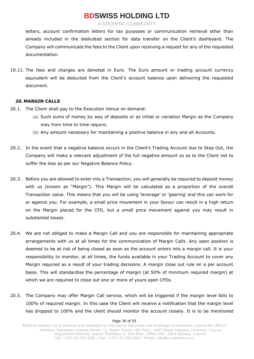A GROWING COMMUNITY

letters, account confirmation letters for tax purposes or communication retrieval other than already included in the dedicated section for data transfer on the Client's dashboard. The Company will communicate the fees to the Client upon receiving a request for any of the requested documentation.

19.11. The fees and charges are denoted in Euro. The Euro amount or trading account currency equivalent will be deducted from the Client's account balance upon delivering the requested document.

### **20. MARGIN CALLS**

- 20.1. The Client shall pay to the Execution Venue on demand:
	- (a) Such sums of money by way of deposits or as initial or variation Margin as the Company may from time to time require;
	- (b) Any amount necessary for maintaining a positive balance in any and all Accounts.
- 20.2. In the event that a negative balance occurs in the Client's Trading Account due to Stop Out, the Company will make a relevant adjustment of the full negative amount so as to the Client not to suffer the loss as per our Negative Balance Policy.
- 20.3. Before you are allowed to enter into a Transaction, you will generally be required to deposit money with us (known as "Margin"). This Margin will be calculated as a proportion of the overall Transaction value. This means that you will be using 'leverage' or 'gearing' and this can work for or against you. For example, a small price movement in your favour can result in a high return on the Margin placed for the CFD, but a small price movement against you may result in substantial losses.
- 20.4. We are not obliged to make a Margin Call and you are responsible for maintaining appropriate arrangements with us at all times for the communication of Margin Calls. Any open position is deemed to be at risk of being closed as soon as the account enters into a margin call. It is your responsibility to monitor, at all times, the funds available in your Trading Account to cover any Margin required as a result of your trading decisions. A margin close out rule on a per account basis. This will standardise the percentage of margin (at 50% of minimum required margin) at which we are required to close out one or more of yours open CFDs.
- 20.5. The Company may offer Margin Call service, which will be triggered if the margin level falls to 100% of required margin. In this case the Client will receive a notification that the margin level has dropped to 100% and the client should monitor the account closely. It is to be mentioned

#### Page 30 of 55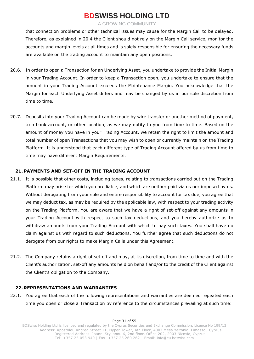A GROWING COMMUNITY

that connection problems or other technical issues may cause for the Margin Call to be delayed. Therefore, as explained in 20.4 the Client should not rely on the Margin Call service, monitor the accounts and margin levels at all times and is solely responsible for ensuring the necessary funds are available on the trading account to maintain any open positions.

- 20.6. In order to open a Transaction for an Underlying Asset, you undertake to provide the Initial Margin in your Trading Account. In order to keep a Transaction open, you undertake to ensure that the amount in your Trading Account exceeds the Maintenance Margin. You acknowledge that the Margin for each Underlying Asset differs and may be changed by us in our sole discretion from time to time.
- 20.7. Deposits into your Trading Account can be made by wire transfer or another method of payment, to a bank account, or other location, as we may notify to you from time to time. Based on the amount of money you have in your Trading Account, we retain the right to limit the amount and total number of open Transactions that you may wish to open or currently maintain on the Trading Platform. It is understood that each different type of Trading Account offered by us from time to time may have different Margin Requirements.

### **21. PAYMENTS AND SET-OFF IN THE TRADING ACCOUNT**

- 21.1. It is possible that other costs, including taxes, relating to transactions carried out on the Trading Platform may arise for which you are liable, and which are neither paid via us nor imposed by us. Without derogating from your sole and entire responsibility to account for tax due, you agree that we may deduct tax, as may be required by the applicable law, with respect to your trading activity on the Trading Platform. You are aware that we have a right of set-off against any amounts in your Trading Account with respect to such tax deductions, and you hereby authorize us to withdraw amounts from your Trading Account with which to pay such taxes. You shall have no claim against us with regard to such deductions. You further agree that such deductions do not derogate from our rights to make Margin Calls under this Agreement.
- 21.2. The Company retains a right of set off and may, at its discretion, from time to time and with the Client's authorization, set-off any amounts held on behalf and/or to the credit of the Client against the Client's obligation to the Company.

### **22. REPRESENTATIONS AND WARRANTIES**

22.1. You agree that each of the following representations and warranties are deemed repeated each time you open or close a Transaction by reference to the circumstances prevailing at such time:

Page 31 of 55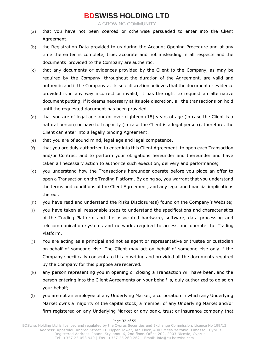A GROWING COMMUNITY

- (a) that you have not been coerced or otherwise persuaded to enter into the Client Agreement.
- (b) the Registration Data provided to us during the Account Opening Procedure and at any time thereafter is complete, true, accurate and not misleading in all respects and the documents provided to the Company are authentic.
- (c) that any documents or evidences provided by the Client to the Company, as may be required by the Company, throughout the duration of the Agreement, are valid and authentic and if the Company at its sole discretion believes that the document or evidence provided is in any way incorrect or invalid, it has the right to request an alternative document putting, if it deems necessary at its sole discretion, all the transactions on hold until the requested document has been provided.
- (d) that you are of legal age and/or over eighteen (18) years of age (in case the Client is a natural person) or have full capacity (in case the Client is a legal person); therefore, the Client can enter into a legally binding Agreement.
- (e) that you are of sound mind, legal age and legal competence.
- (f) that you are duly authorized to enter into this Client Agreement, to open each Transaction and/or Contract and to perform your obligations hereunder and thereunder and have taken all necessary action to authorize such execution, delivery and performance;
- (g) you understand how the Transactions hereunder operate before you place an offer to open a Transaction on the Trading Platform. By doing so, you warrant that you understand the terms and conditions of the Client Agreement, and any legal and financial implications thereof.
- (h) you have read and understand the Risks Disclosure(s) found on the Company's Website;
- (i) you have taken all reasonable steps to understand the specifications and characteristics of the Trading Platform and the associated hardware, software, data processing and telecommunication systems and networks required to access and operate the Trading Platform.
- (j) You are acting as a principal and not as agent or representative or trustee or custodian on behalf of someone else. The Client may act on behalf of someone else only if the Company specifically consents to this in writing and provided all the documents required by the Company for this purpose are received.
- (k) any person representing you in opening or closing a Transaction will have been, and the person entering into the Client Agreements on your behalf is, duly authorized to do so on your behalf;
- (l) you are not an employee of any Underlying Market, a corporation in which any Underlying Market owns a majority of the capital stock, a member of any Underlying Market and/or firm registered on any Underlying Market or any bank, trust or insurance company that

#### Page 32 of 55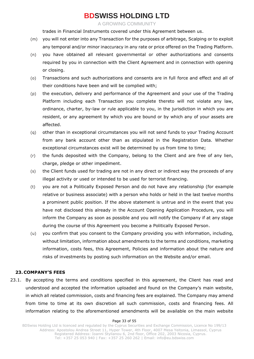A GROWING COMMUNITY

trades in Financial Instruments covered under this Agreement between us.

- (m) you will not enter into any Transaction for the purposes of arbitrage, Scalping or to exploit any temporal and/or minor inaccuracy in any rate or price offered on the Trading Platform.
- (n) you have obtained all relevant governmental or other authorizations and consents required by you in connection with the Client Agreement and in connection with opening or closing.
- (o) Transactions and such authorizations and consents are in full force and effect and all of their conditions have been and will be complied with;
- (p) the execution, delivery and performance of the Agreement and your use of the Trading Platform including each Transaction you complete thereto will not violate any law, ordinance, charter, by-law or rule applicable to you, in the jurisdiction in which you are resident, or any agreement by which you are bound or by which any of your assets are affected.
- (q) other than in exceptional circumstances you will not send funds to your Trading Account from any bank account other than as stipulated in the Registration Data. Whether exceptional circumstances exist will be determined by us from time to time;
- (r) the funds deposited with the Company, belong to the Client and are free of any lien, charge, pledge or other impediment.
- (s) the Client funds used for trading are not in any direct or indirect way the proceeds of any illegal activity or used or intended to be used for terrorist financing.
- (t) you are not a Politically Exposed Person and do not have any relationship (for example relative or business associate) with a person who holds or held in the last twelve months a prominent public position. If the above statement is untrue and in the event that you have not disclosed this already in the Account Opening Application Procedure, you will inform the Company as soon as possible and you will notify the Company if at any stage during the course of this Agreement you become a Politically Exposed Person.
- (u) you confirm that you consent to the Company providing you with information, including, without limitation, information about amendments to the terms and conditions, marketing information, costs fees, this Agreement, Policies and information about the nature and risks of investments by posting such information on the Website and/or email.

### **23. COMPANY'S FEES**

23.1. By accepting the terms and conditions specified in this agreement, the Client has read and understood and accepted the information uploaded and found on the Company's main website, in which all related commission, costs and financing fees are explained. The Company may amend from time to time at its own discretion all such commission, costs and financing fees. All information relating to the aforementioned amendments will be available on the main website

#### Page 33 of 55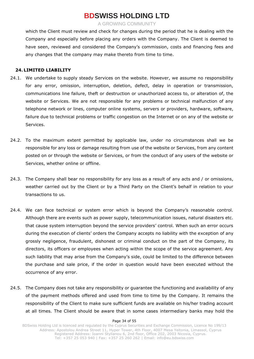A GROWING COMMUNITY

which the Client must review and check for changes during the period that he is dealing with the Company and especially before placing any orders with the Company. The Client is deemed to have seen, reviewed and considered the Company's commission, costs and financing fees and any changes that the company may make thereto from time to time.

### **24. LIMITED LIABILITY**

- 24.1. We undertake to supply steady Services on the website. However, we assume no responsibility for any error, omission, interruption, deletion, defect, delay in operation or transmission, communications line failure, theft or destruction or unauthorized access to, or alteration of, the website or Services. We are not responsible for any problems or technical malfunction of any telephone network or lines, computer online systems, servers or providers, hardware, software, failure due to technical problems or traffic congestion on the Internet or on any of the website or Services.
- 24.2. To the maximum extent permitted by applicable law, under no circumstances shall we be responsible for any loss or damage resulting from use of the website or Services, from any content posted on or through the website or Services, or from the conduct of any users of the website or Services, whether online or offline.
- 24.3. The Company shall bear no responsibility for any loss as a result of any acts and / or omissions, weather carried out by the Client or by a Third Party on the Client's behalf in relation to your transactions to us.
- 24.4. We can face technical or system error which is beyond the Company's reasonable control. Although there are events such as power supply, telecommunication issues, natural disasters etc. that cause system interruption beyond the service providers' control. When such an error occurs during the execution of clients' orders the Company accepts no liability with the exception of any grossly negligence, fraudulent, dishonest or criminal conduct on the part of the Company, its directors, its officers or employees when acting within the scope of the service agreement. Any such liability that may arise from the Company's side, could be limited to the difference between the purchase and sale price, if the order in question would have been executed without the occurrence of any error.
- 24.5. The Company does not take any responsibility or guarantee the functioning and availability of any of the payment methods offered and used from time to time by the Company. It remains the responsibility of the Client to make sure sufficient funds are available on his/her trading account at all times. The Client should be aware that in some cases intermediary banks may hold the

#### Page 34 of 55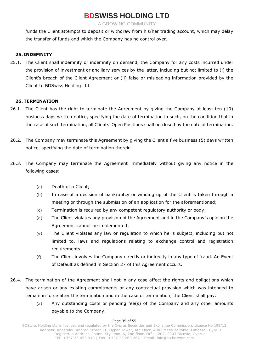A GROWING COMMUNITY

funds the Client attempts to deposit or withdraw from his/her trading account, which may delay the transfer of funds and which the Company has no control over.

### **25. INDEMNITY**

25.1. The Client shall indemnify or indemnify on demand, the Company for any costs incurred under the provision of investment or ancillary services by the latter, including but not limited to (i) the Client's breach of the Client Agreement or (ii) false or misleading information provided by the Client to BDSwiss Holding Ltd.

### **26. TERMINATION**

- 26.1. The Client has the right to terminate the Agreement by giving the Company at least ten (10) business days written notice, specifying the date of termination in such, on the condition that in the case of such termination, all Clients' Open Positions shall be closed by the date of termination.
- 26.2. The Company may terminate this Agreement by giving the Client a five business (5) days written notice, specifying the date of termination therein.
- 26.3. The Company may terminate the Agreement immediately without giving any notice in the following cases:
	- (a) Death of a Client;
	- (b) In case of a decision of bankruptcy or winding up of the Client is taken through a meeting or through the submission of an application for the aforementioned;
	- (c) Termination is required by any competent regulatory authority or body;
	- (d) The Client violates any provision of the Agreement and in the Company's opinion the Agreement cannot be implemented;
	- (e) The Client violates any law or regulation to which he is subject, including but not limited to, laws and regulations relating to exchange control and registration requirements;
	- (f) The Client involves the Company directly or indirectly in any type of fraud. An Event of Default as defined in Section 27 of this Agreement occurs.
- 26.4. The termination of the Agreement shall not in any case affect the rights and obligations which have arisen or any existing commitments or any contractual provision which was intended to remain in force after the termination and in the case of termination, the Client shall pay:
	- (a) Any outstanding costs or pending fee(s) of the Company and any other amounts payable to the Company;

#### Page 35 of 55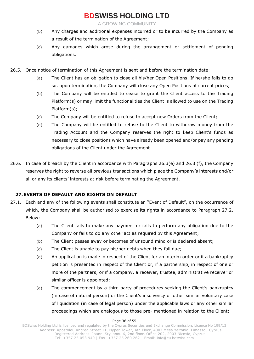A GROWING COMMUNITY

- (b) Any charges and additional expenses incurred or to be incurred by the Company as a result of the termination of the Agreement;
- (c) Any damages which arose during the arrangement or settlement of pending obligations.
- 26.5. Once notice of termination of this Agreement is sent and before the termination date:
	- (a) The Client has an obligation to close all his/her Open Positions. If he/she fails to do so, upon termination, the Company will close any Open Positions at current prices;
	- (b) The Company will be entitled to cease to grant the Client access to the Trading Platform(s) or may limit the functionalities the Client is allowed to use on the Trading Platform(s);
	- (c) The Company will be entitled to refuse to accept new Orders from the Client;
	- (d) The Company will be entitled to refuse to the Client to withdraw money from the Trading Account and the Company reserves the right to keep Client's funds as necessary to close positions which have already been opened and/or pay any pending obligations of the Client under the Agreement.
- 26.6. In case of breach by the Client in accordance with Paragraphs 26.3(e) and 26.3 (f), the Company reserves the right to reverse all previous transactions which place the Company's interests and/or all or any its clients' interests at risk before terminating the Agreement.

### **27. EVENTS OF DEFAULT AND RIGHTS ON DEFAULT**

- 27.1. Each and any of the following events shall constitute an "Event of Default", on the occurrence of which, the Company shall be authorised to exercise its rights in accordance to Paragraph 27.2. Below:
	- (a) The Client fails to make any payment or fails to perform any obligation due to the Company or fails to do any other act as required by this Agreement;
	- (b) The Client passes away or becomes of unsound mind or is declared absent;
	- (c) The Client is unable to pay his/her debts when they fall due;
	- (d) An application is made in respect of the Client for an interim order or if a bankruptcy petition is presented in respect of the Client or, if a partnership, in respect of one or more of the partners, or if a company, a receiver, trustee, administrative receiver or similar officer is appointed;
	- (e) The commencement by a third party of procedures seeking the Client's bankruptcy (in case of natural person) or the Client's insolvency or other similar voluntary case of liquidation (in case of legal person) under the applicable laws or any other similar proceedings which are analogous to those pre- mentioned in relation to the Client;

#### Page 36 of 55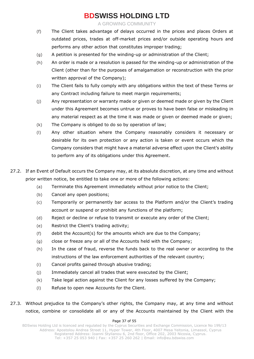A GROWING COMMUNITY

- (f) The Client takes advantage of delays occurred in the prices and places Orders at outdated prices, trades at off-market prices and/or outside operating hours and performs any other action that constitutes improper trading;
- (g) A petition is presented for the winding-up or administration of the Client;
- (h) An order is made or a resolution is passed for the winding-up or administration of the Client (other than for the purposes of amalgamation or reconstruction with the prior written approval of the Company);
- (i) The Client fails to fully comply with any obligations within the text of these Terms or any Contract including failure to meet margin requirements;
- (j) Any representation or warranty made or given or deemed made or given by the Client under this Agreement becomes untrue or proves to have been false or misleading in any material respect as at the time it was made or given or deemed made or given;
- (k) The Company is obliged to do so by operation of law;
- (l) Any other situation where the Company reasonably considers it necessary or desirable for its own protection or any action is taken or event occurs which the Company considers that might have a material adverse effect upon the Client's ability to perform any of its obligations under this Agreement.
- 27.2. If an Event of Default occurs the Company may, at its absolute discretion, at any time and without prior written notice, be entitled to take one or more of the following actions:
	- (a) Terminate this Agreement immediately without prior notice to the Client;
	- (b) Cancel any open positions;
	- (c) Temporarily or permanently bar access to the Platform and/or the Client's trading account or suspend or prohibit any functions of the platform;
	- (d) Reject or decline or refuse to transmit or execute any order of the Client;
	- (e) Restrict the Client's trading activity;
	- (f) debit the Account(s) for the amounts which are due to the Company;
	- (g) close or freeze any or all of the Accounts held with the Company;
	- (h) In the case of fraud, reverse the funds back to the real owner or according to the instructions of the law enforcement authorities of the relevant country;
	- (i) Cancel profits gained through abusive trading;
	- (j) Immediately cancel all trades that were executed by the Client;
	- (k) Take legal action against the Client for any losses suffered by the Company;
	- (l) Refuse to open new Accounts for the Client.
- 27.3. Without prejudice to the Company's other rights, the Company may, at any time and without notice, combine or consolidate all or any of the Accounts maintained by the Client with the

#### Page 37 of 55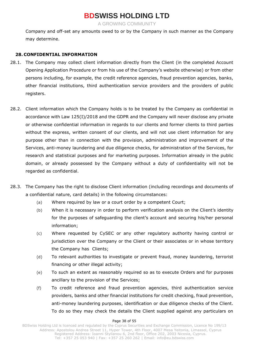A GROWING COMMUNITY

Company and off-set any amounts owed to or by the Company in such manner as the Company may determine.

### **28. CONFIDENTIAL INFORMATION**

- 28.1. The Company may collect client information directly from the Client (in the completed Account Opening Application Procedure or from his use of the Company's website otherwise) or from other persons including, for example, the credit reference agencies, fraud prevention agencies, banks, other financial institutions, third authentication service providers and the providers of public registers.
- 28.2. Client information which the Company holds is to be treated by the Company as confidential in accordance with Law 125(I)/2018 and the GDPR and the Company will never disclose any private or otherwise confidential information in regards to our clients and former clients to third parties without the express, written consent of our clients, and will not use client information for any purpose other than in connection with the provision, administration and improvement of the Services, anti-money laundering and due diligence checks, for administration of the Services, for research and statistical purposes and for marketing purposes. Information already in the public domain, or already possessed by the Company without a duty of confidentiality will not be regarded as confidential.
- 28.3. The Company has the right to disclose Client information (including recordings and documents of a confidential nature, card details) in the following circumstances:
	- (a) Where required by law or a court order by a competent Court;
	- (b) When it is necessary in order to perform verification analysis on the Client's identity for the purposes of safeguarding the client's account and securing his/her personal information;
	- (c) Where requested by CySEC or any other regulatory authority having control or jurisdiction over the Company or the Client or their associates or in whose territory the Company has Clients;
	- (d) To relevant authorities to investigate or prevent fraud, money laundering, terrorist financing or other illegal activity;
	- (e) To such an extent as reasonably required so as to execute Orders and for purposes ancillary to the provision of the Services;
	- (f) To credit reference and fraud prevention agencies, third authentication service providers, banks and other financial institutions for credit checking, fraud prevention, anti-money laundering purposes, identification or due diligence checks of the Client. To do so they may check the details the Client supplied against any particulars on

#### Page 38 of 55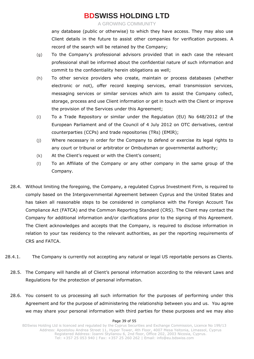A GROWING COMMUNITY

any database (public or otherwise) to which they have access. They may also use Client details in the future to assist other companies for verification purposes. A record of the search will be retained by the Company;

- (g) To the Company's professional advisors provided that in each case the relevant professional shall be informed about the confidential nature of such information and commit to the confidentiality herein obligations as well;
- (h) To other service providers who create, maintain or process databases (whether electronic or not), offer record keeping services, email transmission services, messaging services or similar services which aim to assist the Company collect, storage, process and use Client information or get in touch with the Client or improve the provision of the Services under this Agreement;
- (i) To a Trade Repository or similar under the Regulation (EU) No 648/2012 of the European Parliament and of the Council of 4 July 2012 on OTC derivatives, central counterparties (CCPs) and trade repositories (TRs) (EMIR);
- (j) Where necessary in order for the Company to defend or exercise its legal rights to any court or tribunal or arbitrator or Ombudsman or governmental authority;
- (k) At the Client's request or with the Client's consent;
- (l) To an Affiliate of the Company or any other company in the same group of the Company.
- 28.4. Without limiting the foregoing, the Company, a regulated Cyprus Investment Firm, is required to comply based on the Intergovernmental Agreement between Cyprus and the United States and has taken all reasonable steps to be considered in compliance with the Foreign Account Tax Compliance Act (FATCA) and the Common Reporting Standard (CRS). The Client may contact the Company for additional information and/or clarifications prior to the signing of this Agreement. The Client acknowledges and accepts that the Company, is required to disclose information in relation to your tax residency to the relevant authorities, as per the reporting requirements of CRS and FATCA.
- 28.4.1. The Company is currently not accepting any natural or legal US reportable persons as Clients.
	- 28.5. The Company will handle all of Client's personal information according to the relevant Laws and Regulations for the protection of personal information.
	- 28.6. You consent to us processing all such information for the purposes of performing under this Agreement and for the purpose of administering the relationship between you and us. You agree we may share your personal information with third parties for these purposes and we may also

#### Page 39 of 55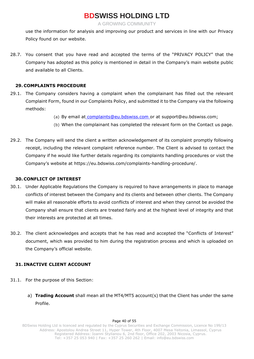A GROWING COMMUNITY

use the information for analysis and improving our product and services in line with our Privacy Policy found on our website.

28.7. You consent that you have read and accepted the terms of the "PRIVACY POLICY" that the Company has adopted as this policy is mentioned in detail in the Company's main website public and available to all Clients.

### **29. COMPLAINTS PROCEDURE**

- 29.1. The Company considers having a complaint when the complainant has filled out the relevant Complaint Form, found in our Complaints Policy, and submitted it to the Company via the following methods:
	- (a) [By email at](mailto:complaints@bdswiss.com) [complaints@eu.bdswiss.com o](mailto:%20complaints@eu.bdswiss.com)r at support@eu.bdswiss.com;
	- (b) When the complainant has completed the relevant form on the Contact us page.
- 29.2. The Company will send the client a written acknowledgement of its complaint promptly following receipt, including the relevant complaint reference number. The Client is advised to contact the Company if he would like further details regarding its complaints handling procedures or visit the Company's website at [https://eu.bdswiss.com/complaints-handling-procedure/.](https://eu.bdswiss.com/complaints-handling-procedure/)

### **30. CONFLICT OF INTEREST**

- 30.1. Under Applicable Regulations the Company is required to have arrangements in place to manage conflicts of interest between the Company and its clients and between other clients. The Company will make all reasonable efforts to avoid conflicts of interest and when they cannot be avoided the Company shall ensure that clients are treated fairly and at the highest level of integrity and that their interests are protected at all times.
- 30.2. The client acknowledges and accepts that he has read and accepted the "Conflicts of Interest" document, which was provided to him during the registration process and which is uploaded on the Company's official website.

### **31. INACTIVE CLIENT ACCOUNT**

- 31.1. For the purpose of this Section:
	- a) **Trading Account** shall mean all the MT4/MT5 account(s) that the Client has under the same Profile.

#### Page 40 of 55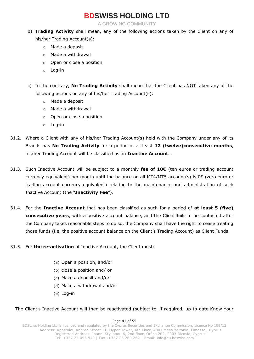A GROWING COMMUNITY

- b) **Trading Activity** shall mean, any of the following actions taken by the Client on any of his/her Trading Account(s):
	- o Made a deposit
	- o Made a withdrawal
	- o Open or close a position
	- o Log-in
- c) In the contrary, **No Trading Activity** shall mean that the Client has NOT taken any of the following actions on any of his/her Trading Account(s):
	- o Made a deposit
	- o Made a withdrawal
	- o Open or close a position
	- o Log-in
- 31.2. Where a Client with any of his/her Trading Account(s) held with the Company under any of its Brands has **No Trading Activity** for a period of at least **12 (twelve)consecutive months**, his/her Trading Account will be classified as an **Inactive Account**. .
- 31.3. Such Inactive Account will be subject to a monthly **fee of 10€** (ten euros or trading account currency equivalent) per month until the balance on all MT4/MT5 account(s) is  $0 \in ($ zero euro or trading account currency equivalent) relating to the maintenance and administration of such Inactive Account (the "**Inactivity Fee**").
- 31.4. For the **Inactive Account** that has been classified as such for a period of **at least 5 (five) consecutive years**, with a positive account balance, and the Client fails to be contacted after the Company takes reasonable steps to do so, the Company shall have the right to cease treating those funds (i.e. the positive account balance on the Client's Trading Account) as Client Funds.
- 31.5. For **the re-activation** of Inactive Account, the Client must:
	- (a) Open a position, and/or
	- (b) close a position and/ or
	- (c) Make a deposit and/or
	- (d) Make a withdrawal and/or
	- (e) Log-in

### The Client's Inactive Account will then be reactivated (subject to, if required, up-to-date Know Your

#### Page 41 of 55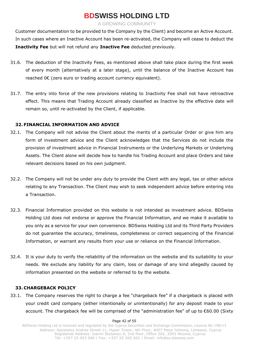A GROWING COMMUNITY

Customer documentation to be provided to the Company by the Client) and become an Active Account. In such cases where an Inactive Account has been re-activated, the Company will cease to deduct the **Inactivity Fee** but will not refund any **Inactive Fee** deducted previously.

- 31.6. The deduction of the Inactivity Fees, as mentioned above shall take place during the first week of every month (alternatively at a later stage), until the balance of the Inactive Account has reached 0€ (zero euro or trading account currency equivalent).
- 31.7. The entry into force of the new provisions relating to Inactivity Fee shall not have retroactive effect. This means that Trading Account already classified as Inactive by the effective date will remain so, until re-activated by the Client, if applicable.

### **32. FINANCIAL INFORMATION AND ADVICE**

- 32.1. The Company will not advise the Client about the merits of a particular Order or give him any form of investment advice and the Client acknowledges that the Services do not include the provision of investment advice in Financial Instruments or the Underlying Markets or Underlying Assets. The Client alone will decide how to handle his Trading Account and place Orders and take relevant decisions based on his own judgment.
- 32.2. The Company will not be under any duty to provide the Client with any legal, tax or other advice relating to any Transaction. The Client may wish to seek independent advice before entering into a Transaction.
- 32.3. Financial Information provided on this website is not intended as investment advice. BDSwiss Holding Ltd does not endorse or approve the Financial Information, and we make it available to you only as a service for your own convenience. BDSwiss Holding Ltd and its Third Party Providers do not guarantee the accuracy, timeliness, completeness or correct sequencing of the Financial Information, or warrant any results from your use or reliance on the Financial Information.
- 32.4. It is your duty to verify the reliability of the information on the website and its suitability to your needs. We exclude any liability for any claim, loss or damage of any kind allegedly caused by information presented on the website or referred to by the website.

### **33. CHARGEBACK POLICY**

33.1. The Company reserves the right to charge a fee "chargeback fee" if a chargeback is placed with your credit card company (either intentionally or unintentionally) for any deposit made to your account. The chargeback fee will be comprised of the "administration fee" of up to €60.00 (Sixty

#### Page 42 of 55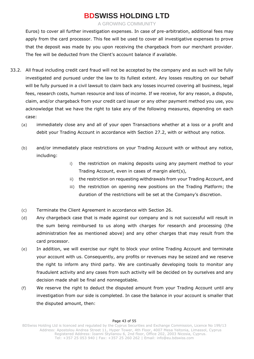A GROWING COMMUNITY

Euros) to cover all further investigation expenses. In case of pre-arbitration, additional fees may apply from the card processor. This fee will be used to cover all investigative expenses to prove that the deposit was made by you upon receiving the chargeback from our merchant provider. The fee will be deducted from the Client's account balance if available.

- 33.2. All fraud including credit card fraud will not be accepted by the company and as such will be fully investigated and pursued under the law to its fullest extent. Any losses resulting on our behalf will be fully pursued in a civil lawsuit to claim back any losses incurred covering all business, legal fees, research costs, human resource and loss of income. If we receive, for any reason, a dispute, claim, and/or chargeback from your credit card issuer or any other payment method you use, you acknowledge that we have the right to take any of the following measures, depending on each case:
	- (a) immediately close any and all of your open Transactions whether at a loss or a profit and debit your Trading Account in accordance with Section 27.2, with or without any notice.
	- (b) and/or immediately place restrictions on your Trading Account with or without any notice, including:
		- i) the restriction on making deposits using any payment method to your Trading Account, even in cases of margin alert(s),
		- ii) the restriction on requesting withdrawals from your Trading Account, and
		- iii) the restriction on opening new positions on the Trading Platform; the duration of the restrictions will be set at the Company's discretion.
	- (c) Terminate the Client Agreement in accordance with Section 26.
	- (d) Any chargeback case that is made against our company and is not successful will result in the sum being reimbursed to us along with charges for research and processing (the administration fee as mentioned above) and any other charges that may result from the card processor.
	- (e) In addition, we will exercise our right to block your online Trading Account and terminate your account with us. Consequently, any profits or revenues may be seized and we reserve the right to inform any third party. We are continually developing tools to monitor any fraudulent activity and any cases from such activity will be decided on by ourselves and any decision made shall be final and nonnegotiable.
	- (f) We reserve the right to deduct the disputed amount from your Trading Account until any investigation from our side is completed. In case the balance in your account is smaller that the disputed amount, then: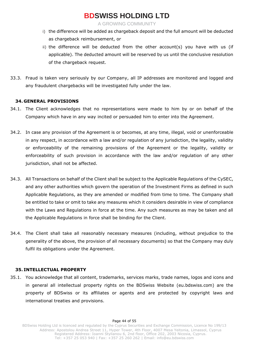A GROWING COMMUNITY

- i) the difference will be added as chargeback deposit and the full amount will be deducted as chargeback reimbursement, or
- ii) the difference will be deducted from the other account(s) you have with us (if applicable). The deducted amount will be reserved by us until the conclusive resolution of the chargeback request.
- 33.3. Fraud is taken very seriously by our Company, all IP addresses are monitored and logged and any fraudulent chargebacks will be investigated fully under the law.

### **34. GENERAL PROVISIONS**

- 34.1. The Client acknowledges that no representations were made to him by or on behalf of the Company which have in any way incited or persuaded him to enter into the Agreement.
- 34.2. In case any provision of the Agreement is or becomes, at any time, illegal, void or unenforceable in any respect, in accordance with a law and/or regulation of any jurisdiction, the legality, validity or enforceability of the remaining provisions of the Agreement or the legality, validity or enforceability of such provision in accordance with the law and/or regulation of any other jurisdiction, shall not be affected.
- 34.3. All Transactions on behalf of the Client shall be subject to the Applicable Regulations of the CySEC, and any other authorities which govern the operation of the Investment Firms as defined in such Applicable Regulations, as they are amended or modified from time to time. The Company shall be entitled to take or omit to take any measures which it considers desirable in view of compliance with the Laws and Regulations in force at the time. Any such measures as may be taken and all the Applicable Regulations in force shall be binding for the Client.
- 34.4. The Client shall take all reasonably necessary measures (including, without prejudice to the generality of the above, the provision of all necessary documents) so that the Company may duly fulfil its obligations under the Agreement.

### **35. INTELLECTUAL PROPERTY**

35.1. You acknowledge that all content, trademarks, services marks, trade names, logos and icons and in general all intellectual property rights on the BDSwiss Website (eu.bdswiss.com) are the property of BDSwiss or its affiliates or agents and are protected by copyright laws and international treaties and provisions.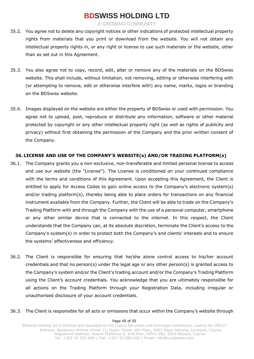A GROWING COMMUNITY

- 35.2. You agree not to delete any copyright notices or other indications of protected intellectual property rights from materials that you print or download from the website. You will not obtain any intellectual property rights in, or any right or license to use such materials or the website, other than as set out in this Agreement.
- 35.3. You also agree not to copy, record, edit, alter or remove any of the materials on the BDSwiss website. This shall include, without limitation, not removing, editing or otherwise interfering with (or attempting to remove, edit or otherwise interfere with) any name, marks, logos or branding on the BDSwiss website.
- 35.4. Images displayed on the website are either the property of BDSwiss or used with permission. You agree not to upload, post, reproduce or distribute any information, software or other material protected by copyright or any other intellectual property right (as well as rights of publicity and privacy) without first obtaining the permission of the Company and the prior written consent of the Company.

### **36. LICENSE AND USE OF THE COMPANY'S WEBSITE(s) AND/OR TRADING PLATFORM(s)**

- 36.1. The Company grants you a non-exclusive, non-transferable and limited personal license to access and use our website (the "License"). The License is conditioned on your continued compliance with the terms and conditions of this Agreement. Upon accepting this Agreement, the Client is entitled to apply for Access Codes to gain online access to the Company's electronic system(s) and/or trading platform(s), thereby being able to place orders for transactions on any financial instrument available from the Company. Further, the Client will be able to trade on the Company's Trading Platform with and through the Company with the use of a personal computer, smartphone or any other similar device that is connected to the internet. In this respect, the Client understands that the Company can, at its absolute discretion, terminate the Client's access to the Company's system(s) in order to protect both the Company's and clients' interests and to ensure the systems' effectiveness and efficiency.
- 36.2. The Client is responsible for ensuring that he/she alone control access to his/her account credentials and that no person(s) under the legal age or any other person(s) is granted access to the Company's system and/or the Client's trading account and/or the Company's Trading Platform using the Client's account credentials. You acknowledge that you are ultimately responsible for all actions on the Trading Platform through your Registration Data, including irregular or unauthorised disclosure of your account credentials.

### 36.3. The Client is responsible for all acts or omissions that occur within the Company's website through

#### Page 45 of 55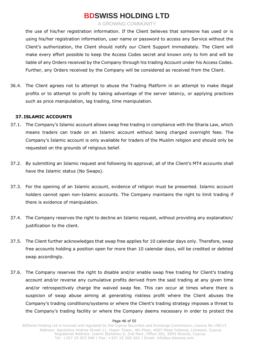A GROWING COMMUNITY

the use of his/her registration information. If the Client believes that someone has used or is using his/her registration information, user name or password to access any Service without the Client's authorization, the Client should notify our Client Support immediately. The Client will make every effort possible to keep the Access Codes secret and known only to him and will be liable of any Orders received by the Company through his trading Account under his Access Codes. Further, any Orders received by the Company will be considered as received from the Client.

36.4. The Client agrees not to attempt to abuse the Trading Platform in an attempt to make illegal profits or to attempt to profit by taking advantage of the server latency, or applying practices such as price manipulation, lag trading, time manipulation.

### **37. ISLAMIC ACCOUNTS**

- 37.1. The Company's Islamic account allows swap free trading in compliance with the Sharia Law, which means traders can trade on an Islamic account without being charged overnight fees. The Company's Islamic account is only available for traders of the Muslim religion and should only be requested on the grounds of religious belief.
- 37.2. By submitting an Islamic request and following its approval, all of the Client's MT4 accounts shall have the Islamic status (No Swaps).
- 37.3. For the opening of an Islamic account, evidence of religion must be presented. Islamic account holders cannot open non-Islamic accounts. The Company maintains the right to limit trading if there is evidence of manipulation.
- 37.4. The Company reserves the right to decline an Islamic request, without providing any explanation/ justification to the client.
- 37.5. The Client further acknowledges that swap free applies for 10 calendar days only. Therefore, swap free accounts holding a position open for more than 10 calendar days, will be credited or debited swap accordingly.
- 37.6. The Company reserves the right to disable and/or enable swap free trading for Client's trading account and/or reverse any cumulative profits derived from the said trading at any given time and/or retrospectively charge the waived swap fee. This can occur at times where there is suspicion of swap abuse aiming at generating riskless profit where the Client abuses the Company's trading conditions/systems or where the Client's trading strategy imposes a threat to the Company's trading facility or where the Company deems necessary in order to protect the

#### Page 46 of 55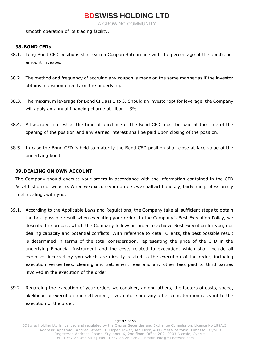A GROWING COMMUNITY

smooth operation of its trading facility.

### **38. BOND CFDs**

- 38.1. Long Bond CFD positions shall earn a Coupon Rate in line with the percentage of the bond's per amount invested.
- 38.2. The method and frequency of accruing any coupon is made on the same manner as if the investor obtains a position directly on the underlying.
- 38.3. The maximum leverage for Bond CFDs is 1 to 3. Should an investor opt for leverage, the Company will apply an annual financing charge at Libor + 3%.
- 38.4. All accrued interest at the time of purchase of the Bond CFD must be paid at the time of the opening of the position and any earned interest shall be paid upon closing of the position.
- 38.5. In case the Bond CFD is held to maturity the Bond CFD position shall close at face value of the underlying bond.

### **39. DEALING ON OWN ACCOUNT**

The Company should execute your orders in accordance with the information contained in the CFD Asset List on our website. When we execute your orders, we shall act honestly, fairly and professionally in all dealings with you.

- 39.1. According to the Applicable Laws and Regulations, the Company take all sufficient steps to obtain the best possible result when executing your order. In the Company's Best Execution Policy, we describe the process which the Company follows in order to achieve Best Execution for you, our dealing capacity and potential conflicts. With reference to Retail Clients, the best possible result is determined in terms of the total consideration, representing the price of the CFD in the underlying Financial Instrument and the costs related to execution, which shall include all expenses incurred by you which are directly related to the execution of the order, including execution venue fees, clearing and settlement fees and any other fees paid to third parties involved in the execution of the order.
- 39.2. Regarding the execution of your orders we consider, among others, the factors of costs, speed, likelihood of execution and settlement, size, nature and any other consideration relevant to the execution of the order.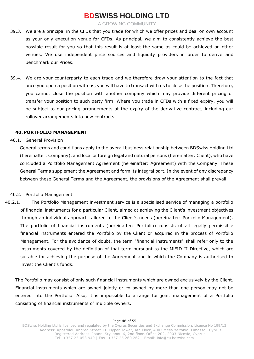A GROWING COMMUNITY

- 39.3. We are a principal in the CFDs that you trade for which we offer prices and deal on own account as your only execution venue for CFDs. As principal, we aim to consistently achieve the best possible result for you so that this result is at least the same as could be achieved on other venues. We use independent price sources and liquidity providers in order to derive and benchmark our Prices.
- 39.4. We are your counterparty to each trade and we therefore draw your attention to the fact that once you open a position with us, you will have to transact with us to close the position. Therefore, you cannot close the position with another company which may provide different pricing or transfer your position to such party firm. Where you trade in CFDs with a fixed expiry, you will be subject to our pricing arrangements at the expiry of the derivative contract, including our rollover arrangements into new contracts.

### **40. PORTFOLIO MANAGEMENT**

40.1. General Provision

General terms and conditions apply to the overall business relationship between BDSwiss Holding Ltd (hereinafter: Company), and local or foreign legal and natural persons (hereinafter: Client), who have concluded a Portfolio Management Agreement (hereinafter: Agreement) with the Company. These General Terms supplement the Agreement and form its integral part. In the event of any discrepancy between these General Terms and the Agreement, the provisions of the Agreement shall prevail.

### 40.2. Portfolio Management

40.2.1. The Portfolio Management investment service is a specialised service of managing a portfolio of financial instruments for a particular Client, aimed at achieving the Client's investment objectives through an individual approach tailored to the Client's needs (hereinafter: Portfolio Management). The portfolio of financial instruments (hereinafter: Portfolio) consists of all legally permissible financial instruments entered the Portfolio by the Client or acquired in the process of Portfolio Management. For the avoidance of doubt, the term "financial instruments" shall refer only to the instruments covered by the definition of that term pursuant to the MiFID II Directive, which are suitable for achieving the purpose of the Agreement and in which the Company is authorised to invest the Client's funds.

The Portfolio may consist of only such financial instruments which are owned exclusively by the Client. Financial instruments which are owned jointly or co-owned by more than one person may not be entered into the Portfolio. Also, it is impossible to arrange for joint management of a Portfolio consisting of financial instruments of multiple owners.

#### Page 48 of 55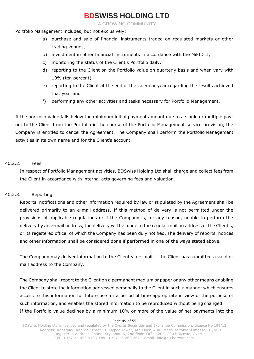A GROWING COMMUNITY

Portfolio Management includes, but not exclusively:

- a) purchase and sale of financial instruments traded on regulated markets or other trading venues,
- b) investment in other financial instruments in accordance with the MiFID II,
- c) monitoring the status of the Client's Portfolio daily,
- d) reporting to the Client on the Portfolio value on quarterly basis and when vary with 10% (ten percent),
- e) reporting to the Client at the end of the calendar year regarding the results achieved that year and
- f) performing any other activities and tasks necessary for Portfolio Management.

If the portfolio value falls below the minimum initial payment amount due to a single or multiple payout to the Client from the Portfolio in the course of the Portfolio Management service provision, the Company is entitled to cancel the Agreement. The Company shall perform the Portfolio Management activities in its own name and for the Client's account.

### 40.2.2. Fees

In respect of Portfolio Management activities, BDSwiss Holding Ltd shall charge and collect fees from the Client in accordance with internal acts governing fees and valuation.

### 40.2.3. Reporting

Reports, notifications and other information required by law or stipulated by the Agreement shall be delivered primarily to an e-mail address. If this method of delivery is not permitted under the provisions of applicable regulations or if the Company is, for any reason, unable to perform the delivery by an e-mail address, the delivery will be made to the regular mailing address of the Client's, or its registered office, of which the Company has been duly notified. The delivery of reports, notices and other information shall be considered done if performed in one of the ways stated above.

The Company may deliver information to the Client via e-mail, if the Client has submitted a valid email address to the Company.

The Company shall report to the Client on a permanent medium or paper or any other means enabling the Client to store the information addressed personally to the Client in such a manner which ensures access to this information for future use for a period of time appropriate in view of the purpose of such information, and enables the stored information to be reproduced without being changed. If the Portfolio value declines by a minimum 10% or more of the value of net payments into the

#### Page 49 of 55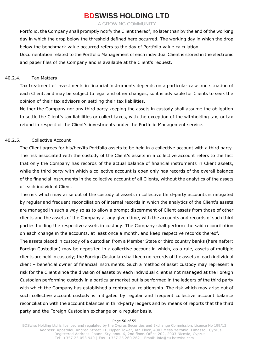A GROWING COMMUNITY

Portfolio, the Company shall promptly notify the Client thereof, no later than by the end of the working day in which the drop below the threshold defined here occurred. The working day in which the drop below the benchmark value occurred refers to the day of Portfolio value calculation.

Documentation related to the Portfolio Management of each individual Client is stored in the electronic and paper files of the Company and is available at the Client's request.

### 40.2.4. Tax Matters

Tax treatment of investments in financial instruments depends on a particular case and situation of each Client, and may be subject to legal and other changes, so it is advisable for Clients to seek the opinion of their tax advisors on settling their tax liabilities.

Neither the Company nor any third party keeping the assets in custody shall assume the obligation to settle the Client's tax liabilities or collect taxes, with the exception of the withholding tax, or tax refund in respect of the Client's investments under the Portfolio Management service.

### 40.2.5. Collective Account

The Client agrees for his/her/its Portfolio assets to be held in a collective account with a third party. The risk associated with the custody of the Client's assets in a collective account refers to the fact that only the Company has records of the actual balance of financial instruments in Client assets, while the third party with which a collective account is open only has records of the overall balance of the financial instruments in the collective account of all Clients, without the analytics of the assets of each individual Client.

The risk which may arise out of the custody of assets in collective third-party accounts is mitigated by regular and frequent reconciliation of internal records in which the analytics of the Client's assets are managed in such a way so as to allow a prompt discernment of Client assets from those of other clients and the assets of the Company at any given time, with the accounts and records of such third parties holding the respective assets in custody. The Company shall perform the said reconciliation on each change in the accounts, at least once a month, and keep respective records thereof.

The assets placed in custody of a custodian from a Member State or third country banks (hereinafter: Foreign Custodian) may be deposited in a collective account in which, as a rule, assets of multiple clients are held in custody; the Foreign Custodian shall keep no records of the assets of each individual client – beneficial owner of financial instruments. Such a method of asset custody may represent a risk for the Client since the division of assets by each individual client is not managed at the Foreign Custodian performing custody in a particular market but is performed in the ledgers of the third party with which the Company has established a contractual relationship. The risk which may arise out of such collective account custody is mitigated by regular and frequent collective account balance reconciliation with the account balances in third-party ledgers and by means of reports that the third party and the Foreign Custodian exchange on a regular basis.

#### Page 50 of 55

BDSwiss Holding Ltd is licenced and regulated by the Cyprus Securities and Exchange Commission, Licence No 199/13 Address: Apostolou Andrea Street 11, Hyper Tower, 4th Floor, 4007 Mesa Yeitonia, Limassol, Cyprus Registered Address: Ioanni Stylianou 6, 2nd floor, Office 202, 2003 Nicosia, Cyprus. Tel: +357 25 053 940 | Fax: +357 25 260 262 | Email: [info@eu.bdswiss.com](mailto:info@eu.bdswiss.com)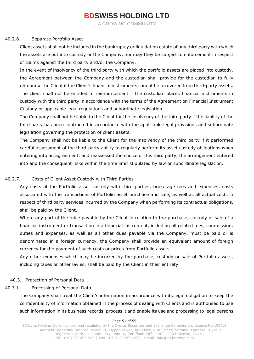A GROWING COMMUNITY

### 40.2.6. Separate Portfolio Asset

Client assets shall not be included in the bankruptcy or liquidation estate of any third party with which the assets are put into custody or the Company, nor may they be subject to enforcement in respect of claims against the third party and/or the Company.

In the event of insolvency of the third party with which the portfolio assets are placed into custody, the Agreement between the Company and the custodian shall provide for the custodian to fully reimburse the Client if the Client's financial instruments cannot be recovered from third-party assets. The client shall not be entitled to reimbursement if the custodian places financial instruments in custody with the third party in accordance with the terms of the Agreement on Financial Instrument Custody or applicable legal regulations and subordinate legislation.

The Company shall not be liable to the Client for the insolvency of the third party if the liability of the third party has been contracted in accordance with the applicable legal provisions and subordinate legislation governing the protection of client assets.

The Company shall not be liable to the Client for the insolvency of the third party if it performed careful assessment of the third-party ability to regularly perform its asset custody obligations when entering into an agreement, and reassessed the choice of this third party, the arrangement entered into and the consequent risks within the time limit stipulated by law or subordinate legislation.

### 40.2.7. Costs of Client Asset Custody with Third Parties

Any costs of the Portfolio asset custody with third parties, brokerage fees and expenses, costs associated with the transactions of Portfolio asset purchase and sale, as well as all actual costs in respect of third party services incurred by the Company when performing its contractual obligations, shall be paid by the Client.

Where any part of the price payable by the Client in relation to the purchase, custody or sale of a financial instrument or transaction in a financial instrument, including all related fees, commission, duties and expenses, as well as all other dues payable via the Company, must be paid or is denominated in a foreign currency, the Company shall provide an equivalent amount of foreign currency for the payment of such costs or prices from Portfolio assets.

Any other expenses which may be incurred by the purchase, custody or sale of Portfolio assets, including taxes or other levies, shall be paid by the Client in their entirety.

### 40.3. Protection of Personal Data

### 40.3.1. Processing of Personal Data

The Company shall treat the Client's information in accordance with its legal obligation to keep the confidentiality of information obtained in the process of dealing with Clients and is authorised to use such information in its business records, process it and enable its use and processing to legal persons

#### Page 51 of 55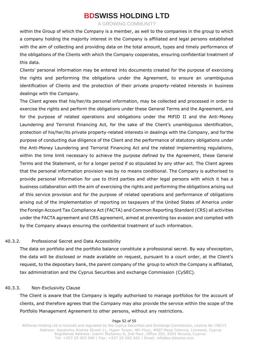A GROWING COMMUNITY

within the Group of which the Company is a member, as well to the companies in the group to which a company holding the majority interest in the Company is affiliated and legal persons established with the aim of collecting and providing data on the total amount, types and timely performance of the obligations of the Clients with which the Company cooperates, ensuring confidential treatment of this data.

Clients' personal information may be entered into documents created for the purpose of exercising the rights and performing the obligations under the Agreement, to ensure an unambiguous identification of Clients and the protection of their private property-related interests in business dealings with the Company.

The Client agrees that his/her/its personal information, may be collected and processed in order to exercise the rights and perform the obligations under these General Terms and the Agreement, and for the purpose of related operations and obligations under the MiFID II and the Anti-Money Laundering and Terrorist Financing Act, for the sake of the Client's unambiguous identification, protection of his/her/its private property-related interests in dealings with the Company, and for the purpose of conducting due diligence of the Client and the performance of statutory obligations under the Anti-Money Laundering and Terrorist Financing Act and the related implementing regulations, within the time limit necessary to achieve the purpose defined by the Agreement, these General Terms and the Statement, or for a longer period if so stipulated by any other act. The Client agrees that the personal information provision was by no means conditional. The Company is authorised to provide personal information for use to third parties and other legal persons with which it has a business collaboration with the aim of exercising the rights and performing the obligations arising out of this service provision and for the purpose of related operations and performance of obligations arising out of the implementation of reporting on taxpayers of the United States of America under the Foreign Account Tax Compliance Act (FACTA) and Common Reporting Standard (CRS) all activities under the FACTA agreement and CRS agreement, aimed at preventing tax evasion and complied with by the Company always ensuring the confidential treatment of such information.

### 40.3.2. Professional Secret and Data Accessibility

The data on portfolio and the portfolio balance constitute a professional secret. By way ofexception, the data will be disclosed or made available on request, pursuant to a court order, at the Client's request, to the depositary bank, the parent company of the group to which the Company is affiliated, tax administration and the Cyprus Securities and exchange Commission (CySEC).

### 40.3.3. Non-Exclusivity Clause

The Client is aware that the Company is legally authorised to manage portfolios for the account of clients, and therefore agrees that the Company may also provide the service within the scope of the Portfolio Management Agreement to other persons, without any restrictions.

#### Page 52 of 55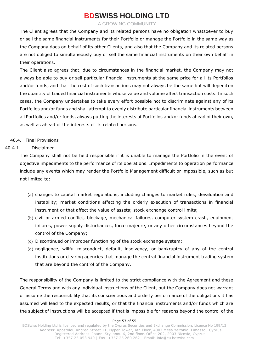A GROWING COMMUNITY

The Client agrees that the Company and its related persons have no obligation whatsoever to buy or sell the same financial instruments for their Portfolio or manage the Portfolio in the same way as the Company does on behalf of its other Clients, and also that the Company and its related persons are not obliged to simultaneously buy or sell the same financial instruments on their own behalf in their operations.

The Client also agrees that, due to circumstances in the financial market, the Company may not always be able to buy or sell particular financial instruments at the same price for all its Portfolios and/or funds, and that the cost of such transactions may not always be the same but will depend on the quantity of traded financial instruments whose value and volume affect transaction costs. In such cases, the Company undertakes to take every effort possible not to discriminate against any of its Portfolios and/or funds and shall attempt to evenly distribute particular financial instruments between all Portfolios and/or funds, always putting the interests of Portfolios and/or funds ahead of their own, as well as ahead of the interests of its related persons.

### 40.4. Final Provisions

### 40.4.1. Disclaimer

The Company shall not be held responsible if it is unable to manage the Portfolio in the event of objective impediments to the performance of its operations. Impediments to operation performance include any events which may render the Portfolio Management difficult or impossible, such as but not limited to:

- (a) changes to capital market regulations, including changes to market rules; devaluation and instability; market conditions affecting the orderly execution of transactions in financial instrument or that affect the value of assets; stock exchange control limits;
- (b) civil or armed conflict, blockage, mechanical failures, computer system crash, equipment failures, power supply disturbances, force majeure, or any other circumstances beyond the control of the Company;
- (c) Discontinued or improper functioning of the stock exchange system;
- (d) negligence, willful misconduct, default, insolvency, or bankruptcy of any of the central institutions or clearing agencies that manage the central financial instrument trading system that are beyond the control of the Company.

The responsibility of the Company is limited to the strict compliance with the Agreement and these General Terms and with any individual instructions of the Client, but the Company does not warrant or assume the responsibility that its conscientious and orderly performance of the obligations it has assumed will lead to the expected results, or that the financial instruments and/or funds which are the subject of instructions will be accepted if that is impossible for reasons beyond the control of the

#### Page 53 of 55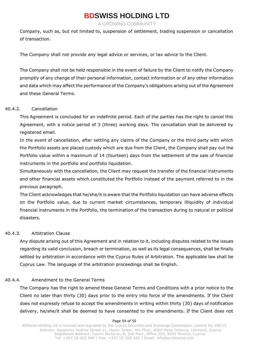A GROWING COMMUNITY

Company, such as, but not limited to, suspension of settlement, trading suspension or cancellation of transaction.

The Company shall not provide any legal advice or services, or tax advice to the Client.

The Company shall not be held responsible in the event of failure by the Client to notify the Company promptly of any change of their personal information, contact information or of any other information and data which may affect the performance of the Company's obligations arising out of the Agreement and these General Terms.

### 40.4.2. Cancellation

This Agreement is concluded for an indefinite period. Each of the parties has the right to cancel this Agreement, with a notice period of 3 (three) working days. The cancellation shall be delivered by registered email.

In the event of cancellation, after settling any claims of the Company or the third party with which the Portfolio assets are placed custody which are due from the Client, the Company shall pay out the Portfolio value within a maximum of 14 (fourteen) days from the settlement of the sale of financial instruments in the portfolio and portfolio liquidation.

Simultaneously with the cancellation, the Client may request the transfer of the financial instruments and other financial assets which constituted the Portfolio instead of the payment referred to in the previous paragraph.

The Client acknowledges that he/she/it is aware that the Portfolio liquidation can have adverse effects on the Portfolio value, due to current market circumstances, temporary illiquidity of individual financial instruments in the Portfolio, the termination of the transaction during to natural or political disasters.

### 40.4.3. Arbitration Clause

Any dispute arising out of this Agreement and in relation to it, including disputes related to the issues regarding its valid conclusion, breach or termination, as well as its legal consequences, shall be finally settled by arbitration in accordance with the Cyprus Rules of Arbitration. The applicable law shall be Cyprus Law. The language of the arbitration proceedings shall be English.

### 40.4.4. Amendment to the General Terms

The Company has the right to amend these General Terms and Conditions with a prior notice to the Client no later than thirty (30) days prior to the entry into force of the amendments. If the Client does not expressly refuse to accept the amendments in writing within thirty (30) days of notification delivery, he/she/it shall be deemed to have consented to the amendments. If the Client does not

#### Page 54 of 55